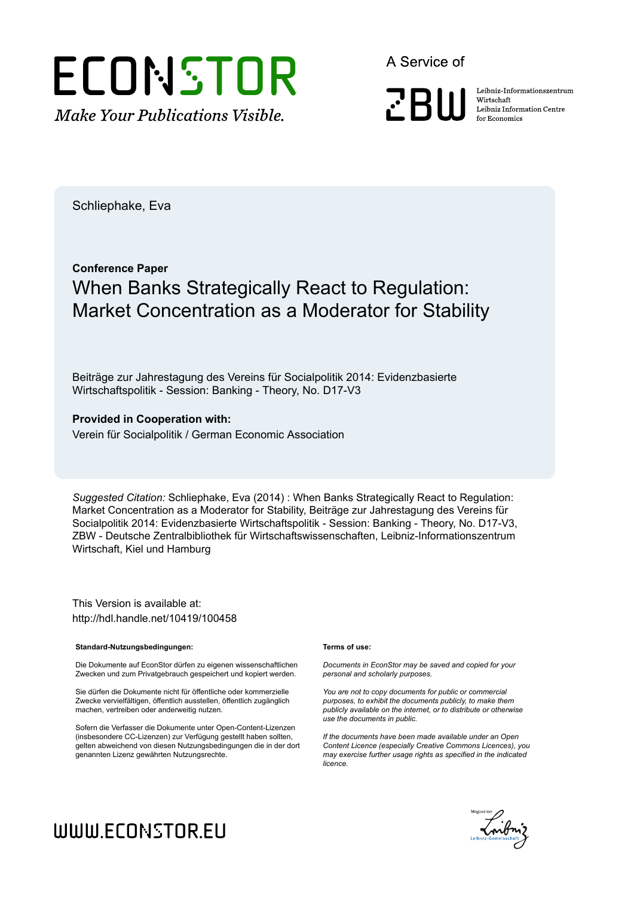

A Service of

**PRIII** 

Leibniz Informationszentrum Wirtschaft Leibniz Information Centre for Economics

Schliephake, Eva

# **Conference Paper** When Banks Strategically React to Regulation: Market Concentration as a Moderator for Stability

Beiträge zur Jahrestagung des Vereins für Socialpolitik 2014: Evidenzbasierte Wirtschaftspolitik - Session: Banking - Theory, No. D17-V3

### **Provided in Cooperation with:**

Verein für Socialpolitik / German Economic Association

*Suggested Citation:* Schliephake, Eva (2014) : When Banks Strategically React to Regulation: Market Concentration as a Moderator for Stability, Beiträge zur Jahrestagung des Vereins für Socialpolitik 2014: Evidenzbasierte Wirtschaftspolitik - Session: Banking - Theory, No. D17-V3, ZBW - Deutsche Zentralbibliothek für Wirtschaftswissenschaften, Leibniz-Informationszentrum Wirtschaft, Kiel und Hamburg

This Version is available at: http://hdl.handle.net/10419/100458

#### **Standard-Nutzungsbedingungen:**

Die Dokumente auf EconStor dürfen zu eigenen wissenschaftlichen Zwecken und zum Privatgebrauch gespeichert und kopiert werden.

Sie dürfen die Dokumente nicht für öffentliche oder kommerzielle Zwecke vervielfältigen, öffentlich ausstellen, öffentlich zugänglich machen, vertreiben oder anderweitig nutzen.

Sofern die Verfasser die Dokumente unter Open-Content-Lizenzen (insbesondere CC-Lizenzen) zur Verfügung gestellt haben sollten, gelten abweichend von diesen Nutzungsbedingungen die in der dort genannten Lizenz gewährten Nutzungsrechte.

#### **Terms of use:**

*Documents in EconStor may be saved and copied for your personal and scholarly purposes.*

*You are not to copy documents for public or commercial purposes, to exhibit the documents publicly, to make them publicly available on the internet, or to distribute or otherwise use the documents in public.*

*If the documents have been made available under an Open Content Licence (especially Creative Commons Licences), you may exercise further usage rights as specified in the indicated licence.*



# WWW.ECONSTOR.EU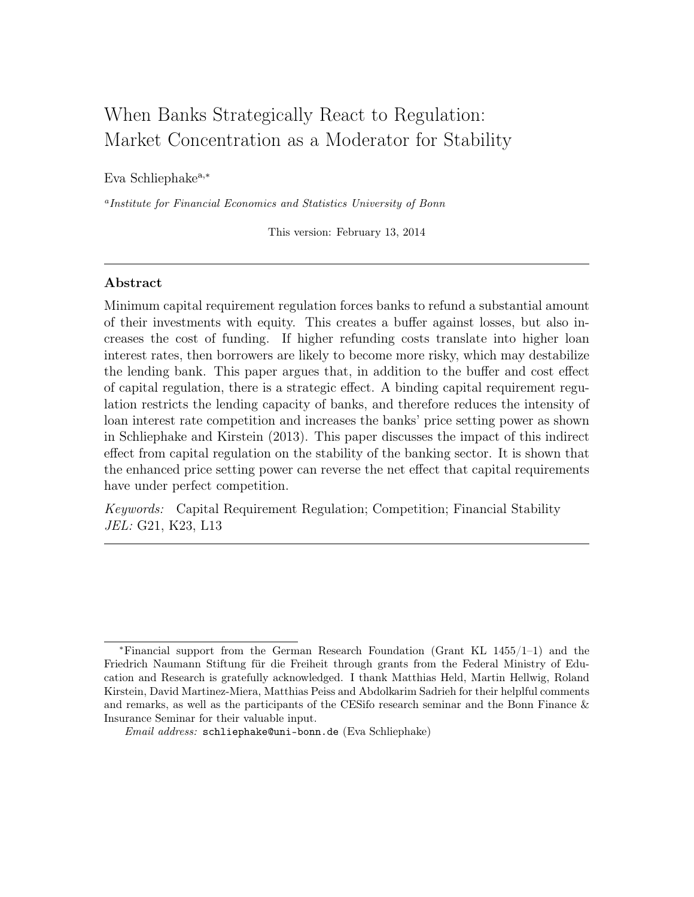# When Banks Strategically React to Regulation: Market Concentration as a Moderator for Stability

Eva Schliephakea,<sup>∗</sup>

<sup>a</sup>Institute for Financial Economics and Statistics University of Bonn

This version: February 13, 2014

## Abstract

Minimum capital requirement regulation forces banks to refund a substantial amount of their investments with equity. This creates a buffer against losses, but also increases the cost of funding. If higher refunding costs translate into higher loan interest rates, then borrowers are likely to become more risky, which may destabilize the lending bank. This paper argues that, in addition to the buffer and cost effect of capital regulation, there is a strategic effect. A binding capital requirement regulation restricts the lending capacity of banks, and therefore reduces the intensity of loan interest rate competition and increases the banks' price setting power as shown in Schliephake and Kirstein (2013). This paper discusses the impact of this indirect effect from capital regulation on the stability of the banking sector. It is shown that the enhanced price setting power can reverse the net effect that capital requirements have under perfect competition.

Keywords: Capital Requirement Regulation; Competition; Financial Stability JEL: G21, K23, L13

<sup>∗</sup>Financial support from the German Research Foundation (Grant KL 1455/1–1) and the Friedrich Naumann Stiftung für die Freiheit through grants from the Federal Ministry of Education and Research is gratefully acknowledged. I thank Matthias Held, Martin Hellwig, Roland Kirstein, David Martinez-Miera, Matthias Peiss and Abdolkarim Sadrieh for their helplful comments and remarks, as well as the participants of the CESifo research seminar and the Bonn Finance & Insurance Seminar for their valuable input.

 $Email \ address: \ \tt{schliephake@uni-bonn.de}$  (Eva Schliephake)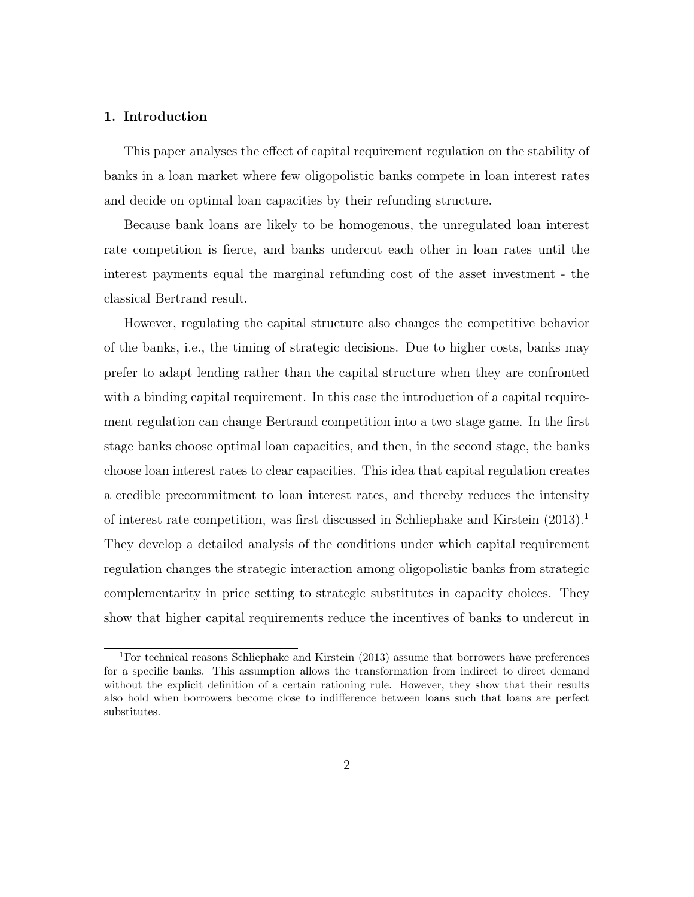#### 1. Introduction

This paper analyses the effect of capital requirement regulation on the stability of banks in a loan market where few oligopolistic banks compete in loan interest rates and decide on optimal loan capacities by their refunding structure.

Because bank loans are likely to be homogenous, the unregulated loan interest rate competition is fierce, and banks undercut each other in loan rates until the interest payments equal the marginal refunding cost of the asset investment - the classical Bertrand result.

However, regulating the capital structure also changes the competitive behavior of the banks, i.e., the timing of strategic decisions. Due to higher costs, banks may prefer to adapt lending rather than the capital structure when they are confronted with a binding capital requirement. In this case the introduction of a capital requirement regulation can change Bertrand competition into a two stage game. In the first stage banks choose optimal loan capacities, and then, in the second stage, the banks choose loan interest rates to clear capacities. This idea that capital regulation creates a credible precommitment to loan interest rates, and thereby reduces the intensity of interest rate competition, was first discussed in Schliephake and Kirstein  $(2013)^{1}$ They develop a detailed analysis of the conditions under which capital requirement regulation changes the strategic interaction among oligopolistic banks from strategic complementarity in price setting to strategic substitutes in capacity choices. They show that higher capital requirements reduce the incentives of banks to undercut in

<sup>1</sup>For technical reasons Schliephake and Kirstein (2013) assume that borrowers have preferences for a specific banks. This assumption allows the transformation from indirect to direct demand without the explicit definition of a certain rationing rule. However, they show that their results also hold when borrowers become close to indifference between loans such that loans are perfect substitutes.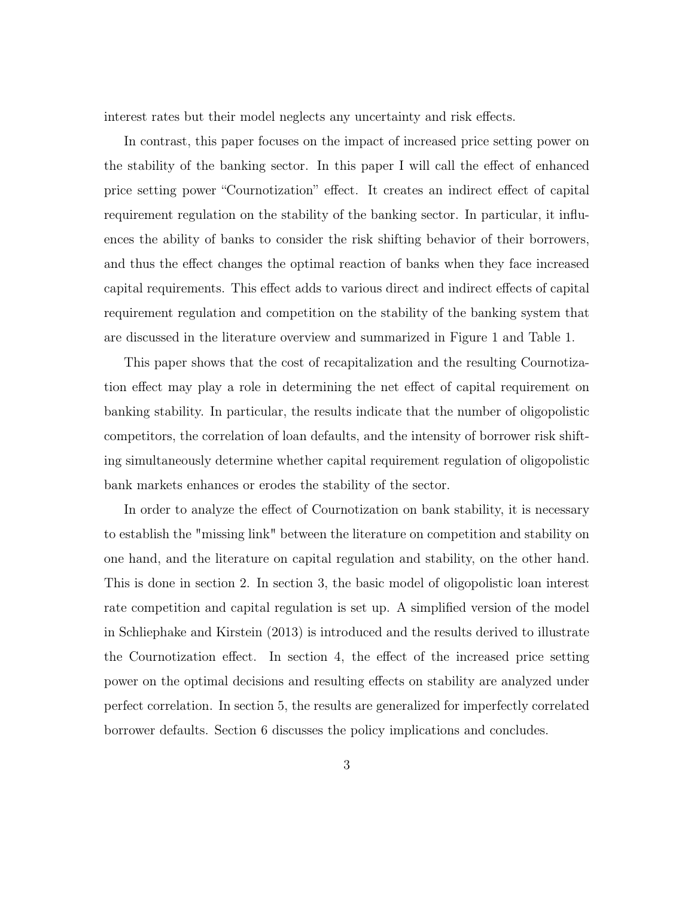interest rates but their model neglects any uncertainty and risk effects.

In contrast, this paper focuses on the impact of increased price setting power on the stability of the banking sector. In this paper I will call the effect of enhanced price setting power "Cournotization" effect. It creates an indirect effect of capital requirement regulation on the stability of the banking sector. In particular, it influences the ability of banks to consider the risk shifting behavior of their borrowers, and thus the effect changes the optimal reaction of banks when they face increased capital requirements. This effect adds to various direct and indirect effects of capital requirement regulation and competition on the stability of the banking system that are discussed in the literature overview and summarized in Figure 1 and Table 1.

This paper shows that the cost of recapitalization and the resulting Cournotization effect may play a role in determining the net effect of capital requirement on banking stability. In particular, the results indicate that the number of oligopolistic competitors, the correlation of loan defaults, and the intensity of borrower risk shifting simultaneously determine whether capital requirement regulation of oligopolistic bank markets enhances or erodes the stability of the sector.

In order to analyze the effect of Cournotization on bank stability, it is necessary to establish the "missing link" between the literature on competition and stability on one hand, and the literature on capital regulation and stability, on the other hand. This is done in section 2. In section 3, the basic model of oligopolistic loan interest rate competition and capital regulation is set up. A simplified version of the model in Schliephake and Kirstein (2013) is introduced and the results derived to illustrate the Cournotization effect. In section 4, the effect of the increased price setting power on the optimal decisions and resulting effects on stability are analyzed under perfect correlation. In section 5, the results are generalized for imperfectly correlated borrower defaults. Section 6 discusses the policy implications and concludes.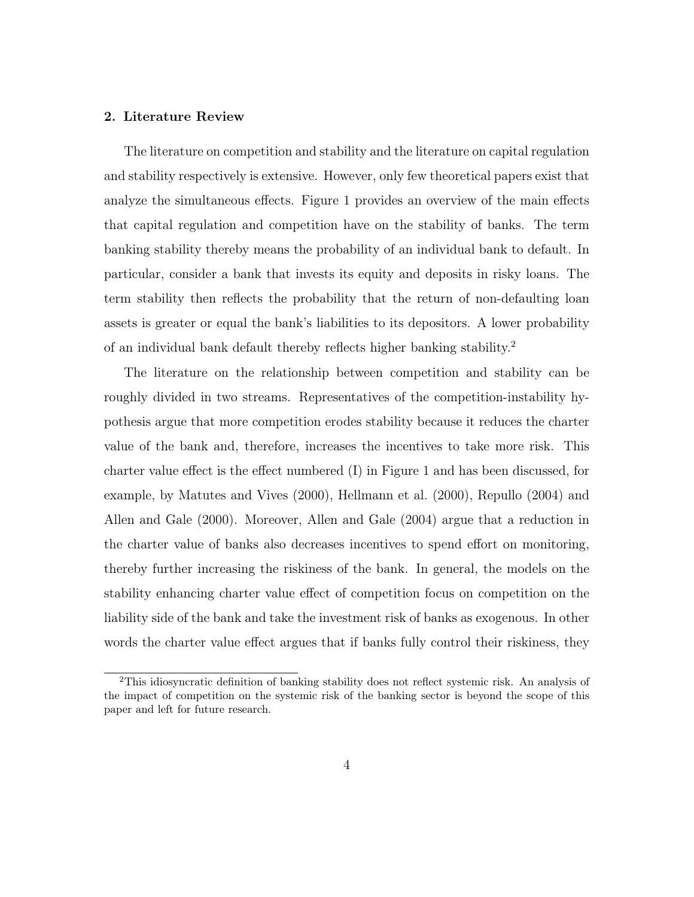#### 2. Literature Review

The literature on competition and stability and the literature on capital regulation and stability respectively is extensive. However, only few theoretical papers exist that analyze the simultaneous effects. Figure 1 provides an overview of the main effects that capital regulation and competition have on the stability of banks. The term banking stability thereby means the probability of an individual bank to default. In particular, consider a bank that invests its equity and deposits in risky loans. The term stability then reflects the probability that the return of non-defaulting loan assets is greater or equal the bank's liabilities to its depositors. A lower probability of an individual bank default thereby reflects higher banking stability.<sup>2</sup>

The literature on the relationship between competition and stability can be roughly divided in two streams. Representatives of the competition-instability hypothesis argue that more competition erodes stability because it reduces the charter value of the bank and, therefore, increases the incentives to take more risk. This charter value effect is the effect numbered (I) in Figure 1 and has been discussed, for example, by Matutes and Vives (2000), Hellmann et al. (2000), Repullo (2004) and Allen and Gale (2000). Moreover, Allen and Gale (2004) argue that a reduction in the charter value of banks also decreases incentives to spend effort on monitoring, thereby further increasing the riskiness of the bank. In general, the models on the stability enhancing charter value effect of competition focus on competition on the liability side of the bank and take the investment risk of banks as exogenous. In other words the charter value effect argues that if banks fully control their riskiness, they

<sup>2</sup>This idiosyncratic definition of banking stability does not reflect systemic risk. An analysis of the impact of competition on the systemic risk of the banking sector is beyond the scope of this paper and left for future research.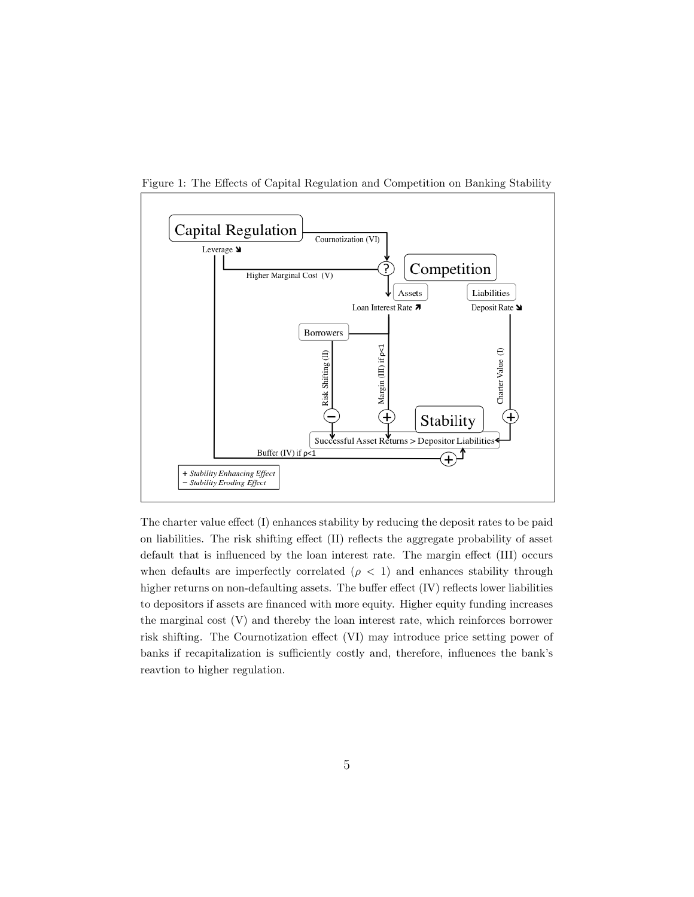

Figure 1: The Effects of Capital Regulation and Competition on Banking Stability

The charter value effect (I) enhances stability by reducing the deposit rates to be paid on liabilities. The risk shifting effect (II) reflects the aggregate probability of asset default that is influenced by the loan interest rate. The margin effect (III) occurs when defaults are imperfectly correlated  $(\rho < 1)$  and enhances stability through higher returns on non-defaulting assets. The buffer effect (IV) reflects lower liabilities to depositors if assets are financed with more equity. Higher equity funding increases the marginal cost (V) and thereby the loan interest rate, which reinforces borrower risk shifting. The Cournotization effect (VI) may introduce price setting power of banks if recapitalization is sufficiently costly and, therefore, influences the bank's reavtion to higher regulation.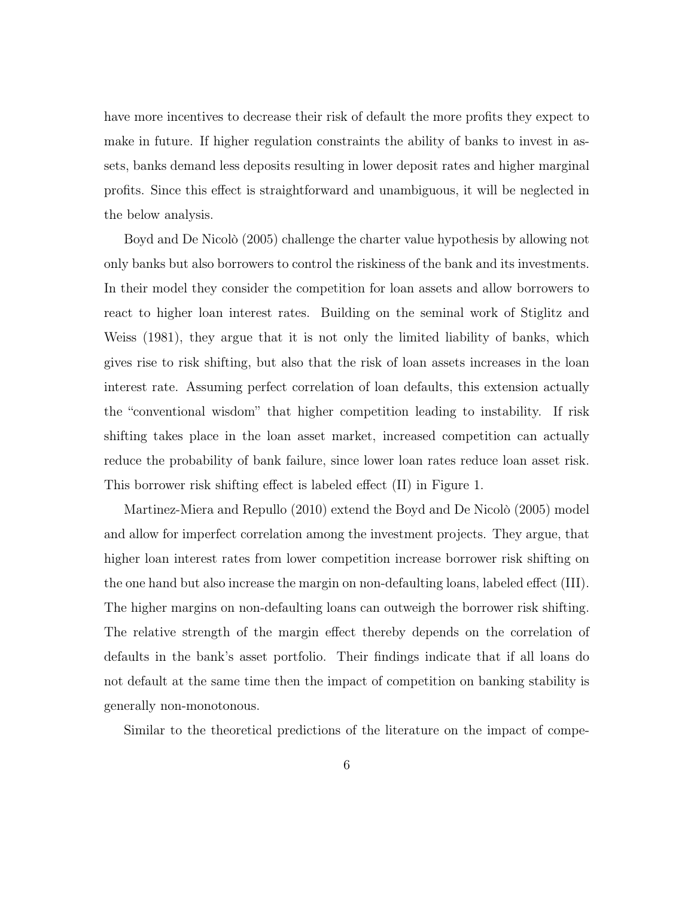have more incentives to decrease their risk of default the more profits they expect to make in future. If higher regulation constraints the ability of banks to invest in assets, banks demand less deposits resulting in lower deposit rates and higher marginal profits. Since this effect is straightforward and unambiguous, it will be neglected in the below analysis.

Boyd and De Nicolò (2005) challenge the charter value hypothesis by allowing not only banks but also borrowers to control the riskiness of the bank and its investments. In their model they consider the competition for loan assets and allow borrowers to react to higher loan interest rates. Building on the seminal work of Stiglitz and Weiss (1981), they argue that it is not only the limited liability of banks, which gives rise to risk shifting, but also that the risk of loan assets increases in the loan interest rate. Assuming perfect correlation of loan defaults, this extension actually the "conventional wisdom" that higher competition leading to instability. If risk shifting takes place in the loan asset market, increased competition can actually reduce the probability of bank failure, since lower loan rates reduce loan asset risk. This borrower risk shifting effect is labeled effect (II) in Figure 1.

Martinez-Miera and Repullo (2010) extend the Boyd and De Nicolò (2005) model and allow for imperfect correlation among the investment projects. They argue, that higher loan interest rates from lower competition increase borrower risk shifting on the one hand but also increase the margin on non-defaulting loans, labeled effect (III). The higher margins on non-defaulting loans can outweigh the borrower risk shifting. The relative strength of the margin effect thereby depends on the correlation of defaults in the bank's asset portfolio. Their findings indicate that if all loans do not default at the same time then the impact of competition on banking stability is generally non-monotonous.

Similar to the theoretical predictions of the literature on the impact of compe-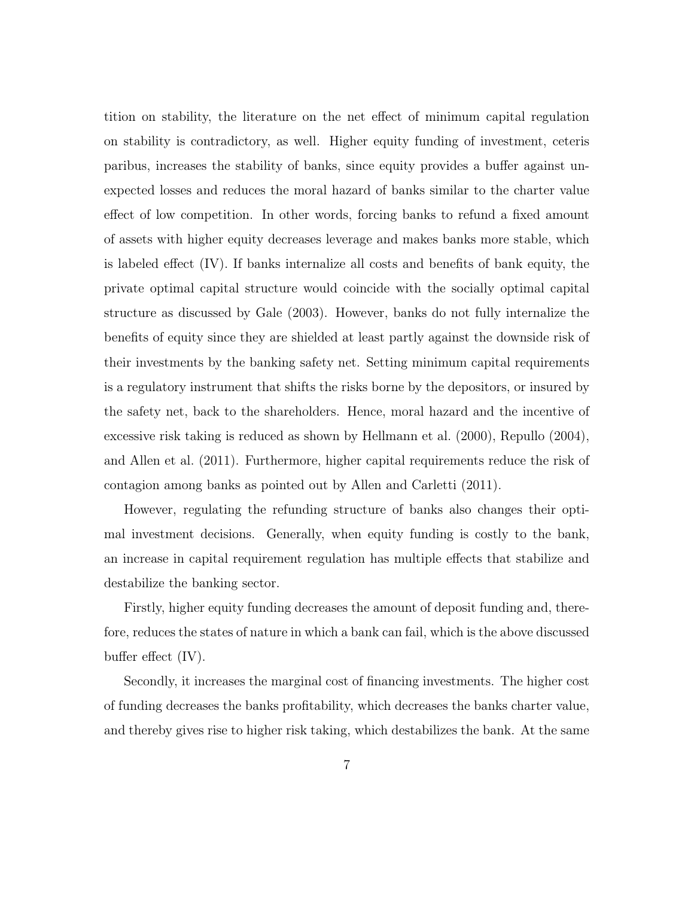tition on stability, the literature on the net effect of minimum capital regulation on stability is contradictory, as well. Higher equity funding of investment, ceteris paribus, increases the stability of banks, since equity provides a buffer against unexpected losses and reduces the moral hazard of banks similar to the charter value effect of low competition. In other words, forcing banks to refund a fixed amount of assets with higher equity decreases leverage and makes banks more stable, which is labeled effect (IV). If banks internalize all costs and benefits of bank equity, the private optimal capital structure would coincide with the socially optimal capital structure as discussed by Gale (2003). However, banks do not fully internalize the benefits of equity since they are shielded at least partly against the downside risk of their investments by the banking safety net. Setting minimum capital requirements is a regulatory instrument that shifts the risks borne by the depositors, or insured by the safety net, back to the shareholders. Hence, moral hazard and the incentive of excessive risk taking is reduced as shown by Hellmann et al. (2000), Repullo (2004), and Allen et al. (2011). Furthermore, higher capital requirements reduce the risk of contagion among banks as pointed out by Allen and Carletti (2011).

However, regulating the refunding structure of banks also changes their optimal investment decisions. Generally, when equity funding is costly to the bank, an increase in capital requirement regulation has multiple effects that stabilize and destabilize the banking sector.

Firstly, higher equity funding decreases the amount of deposit funding and, therefore, reduces the states of nature in which a bank can fail, which is the above discussed buffer effect (IV).

Secondly, it increases the marginal cost of financing investments. The higher cost of funding decreases the banks profitability, which decreases the banks charter value, and thereby gives rise to higher risk taking, which destabilizes the bank. At the same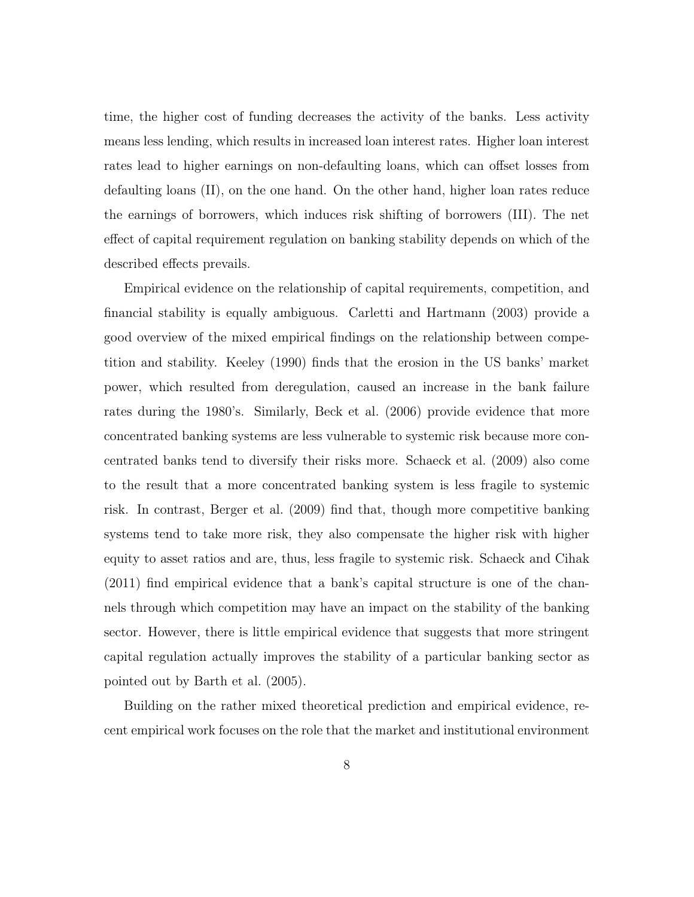time, the higher cost of funding decreases the activity of the banks. Less activity means less lending, which results in increased loan interest rates. Higher loan interest rates lead to higher earnings on non-defaulting loans, which can offset losses from defaulting loans (II), on the one hand. On the other hand, higher loan rates reduce the earnings of borrowers, which induces risk shifting of borrowers (III). The net effect of capital requirement regulation on banking stability depends on which of the described effects prevails.

Empirical evidence on the relationship of capital requirements, competition, and financial stability is equally ambiguous. Carletti and Hartmann (2003) provide a good overview of the mixed empirical findings on the relationship between competition and stability. Keeley (1990) finds that the erosion in the US banks' market power, which resulted from deregulation, caused an increase in the bank failure rates during the 1980's. Similarly, Beck et al. (2006) provide evidence that more concentrated banking systems are less vulnerable to systemic risk because more concentrated banks tend to diversify their risks more. Schaeck et al. (2009) also come to the result that a more concentrated banking system is less fragile to systemic risk. In contrast, Berger et al. (2009) find that, though more competitive banking systems tend to take more risk, they also compensate the higher risk with higher equity to asset ratios and are, thus, less fragile to systemic risk. Schaeck and Cihak (2011) find empirical evidence that a bank's capital structure is one of the channels through which competition may have an impact on the stability of the banking sector. However, there is little empirical evidence that suggests that more stringent capital regulation actually improves the stability of a particular banking sector as pointed out by Barth et al. (2005).

Building on the rather mixed theoretical prediction and empirical evidence, recent empirical work focuses on the role that the market and institutional environment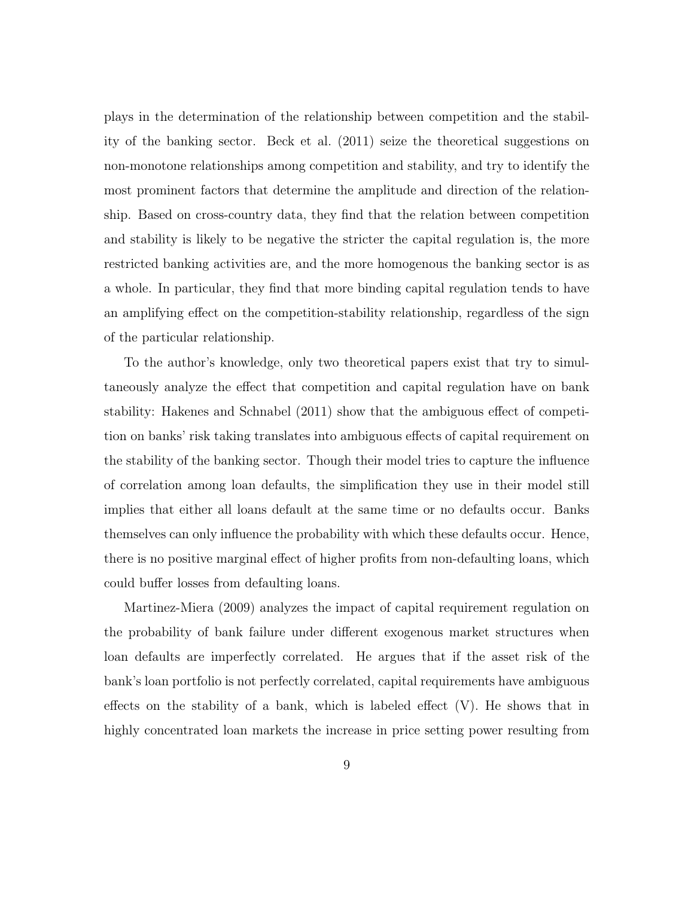plays in the determination of the relationship between competition and the stability of the banking sector. Beck et al. (2011) seize the theoretical suggestions on non-monotone relationships among competition and stability, and try to identify the most prominent factors that determine the amplitude and direction of the relationship. Based on cross-country data, they find that the relation between competition and stability is likely to be negative the stricter the capital regulation is, the more restricted banking activities are, and the more homogenous the banking sector is as a whole. In particular, they find that more binding capital regulation tends to have an amplifying effect on the competition-stability relationship, regardless of the sign of the particular relationship.

To the author's knowledge, only two theoretical papers exist that try to simultaneously analyze the effect that competition and capital regulation have on bank stability: Hakenes and Schnabel (2011) show that the ambiguous effect of competition on banks' risk taking translates into ambiguous effects of capital requirement on the stability of the banking sector. Though their model tries to capture the influence of correlation among loan defaults, the simplification they use in their model still implies that either all loans default at the same time or no defaults occur. Banks themselves can only influence the probability with which these defaults occur. Hence, there is no positive marginal effect of higher profits from non-defaulting loans, which could buffer losses from defaulting loans.

Martinez-Miera (2009) analyzes the impact of capital requirement regulation on the probability of bank failure under different exogenous market structures when loan defaults are imperfectly correlated. He argues that if the asset risk of the bank's loan portfolio is not perfectly correlated, capital requirements have ambiguous effects on the stability of a bank, which is labeled effect (V). He shows that in highly concentrated loan markets the increase in price setting power resulting from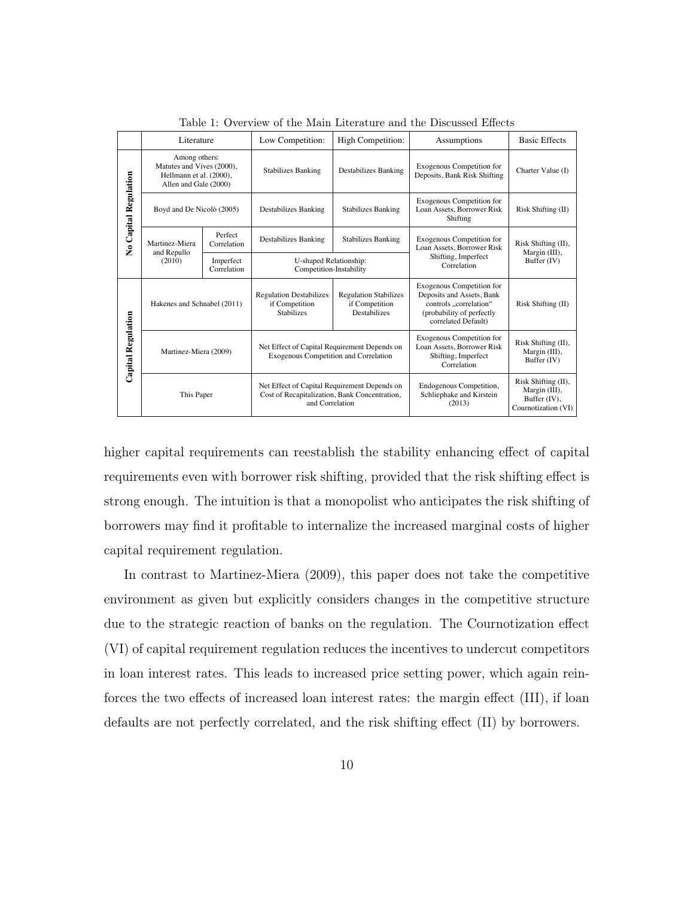|                       | Literature                                                                                     |                          | Low Competition:                                                                                                 | <b>High Competition:</b>                                       | Assumptions                                                                                                                                | <b>Basic Effects</b>                                                        |
|-----------------------|------------------------------------------------------------------------------------------------|--------------------------|------------------------------------------------------------------------------------------------------------------|----------------------------------------------------------------|--------------------------------------------------------------------------------------------------------------------------------------------|-----------------------------------------------------------------------------|
| No Capital Regulation | Among others:<br>Matutes and Vives (2000),<br>Hellmann et al. (2000),<br>Allen and Gale (2000) |                          | <b>Stabilizes Banking</b><br>Destabilizes Banking                                                                |                                                                | Exogenous Competition for<br>Deposits, Bank Risk Shifting                                                                                  | Charter Value (I)                                                           |
|                       | Boyd and De Nicolò (2005)                                                                      |                          | Destabilizes Banking                                                                                             | Stabilizes Banking                                             | <b>Exogenous Competition for</b><br>Loan Assets, Borrower Risk<br>Shifting                                                                 | Risk Shifting (II)                                                          |
|                       | Martinez-Miera<br>and Repullo<br>(2010)                                                        | Perfect<br>Correlation   | Destabilizes Banking                                                                                             | Stabilizes Banking                                             | <b>Exogenous Competition for</b><br>Loan Assets, Borrower Risk                                                                             | Risk Shifting (II),<br>Margin (III),                                        |
|                       |                                                                                                | Imperfect<br>Correlation | U-shaped Relationship:<br>Competition-Instability                                                                |                                                                | Shifting, Imperfect<br>Correlation                                                                                                         | Buffer (IV)                                                                 |
| Capital Regulation    | Hakenes and Schnabel (2011)                                                                    |                          | <b>Regulation Destabilizes</b><br>if Competition<br><b>Stabilizes</b>                                            | <b>Regulation Stabilizes</b><br>if Competition<br>Destabilizes | <b>Exogenous Competition for</b><br>Deposits and Assets, Bank<br>controls correlation"<br>(probability of perfectly<br>correlated Default) | Risk Shifting (II)                                                          |
|                       | Martinez-Miera (2009)                                                                          |                          | Net Effect of Capital Requirement Depends on<br>Exogenous Competition and Correlation                            |                                                                | <b>Exogenous Competition for</b><br>Loan Assets, Borrower Risk<br>Shifting, Imperfect<br>Correlation                                       | Risk Shifting (II),<br>Margin (III),<br>Buffer (IV)                         |
|                       | This Paper                                                                                     |                          | Net Effect of Capital Requirement Depends on<br>Cost of Recapitalization, Bank Concentration,<br>and Correlation |                                                                | Endogenous Competition,<br>Schliephake and Kirstein<br>(2013)                                                                              | Risk Shifting (II),<br>Margin (III),<br>Buffer (IV),<br>Cournotization (VI) |

Table 1: Overview of the Main Literature and the Discussed Effects

higher capital requirements can reestablish the stability enhancing effect of capital requirements even with borrower risk shifting, provided that the risk shifting effect is strong enough. The intuition is that a monopolist who anticipates the risk shifting of borrowers may find it profitable to internalize the increased marginal costs of higher capital requirement regulation.

In contrast to Martinez-Miera (2009), this paper does not take the competitive environment as given but explicitly considers changes in the competitive structure due to the strategic reaction of banks on the regulation. The Cournotization effect (VI) of capital requirement regulation reduces the incentives to undercut competitors in loan interest rates. This leads to increased price setting power, which again reinforces the two effects of increased loan interest rates: the margin effect (III), if loan defaults are not perfectly correlated, and the risk shifting effect (II) by borrowers.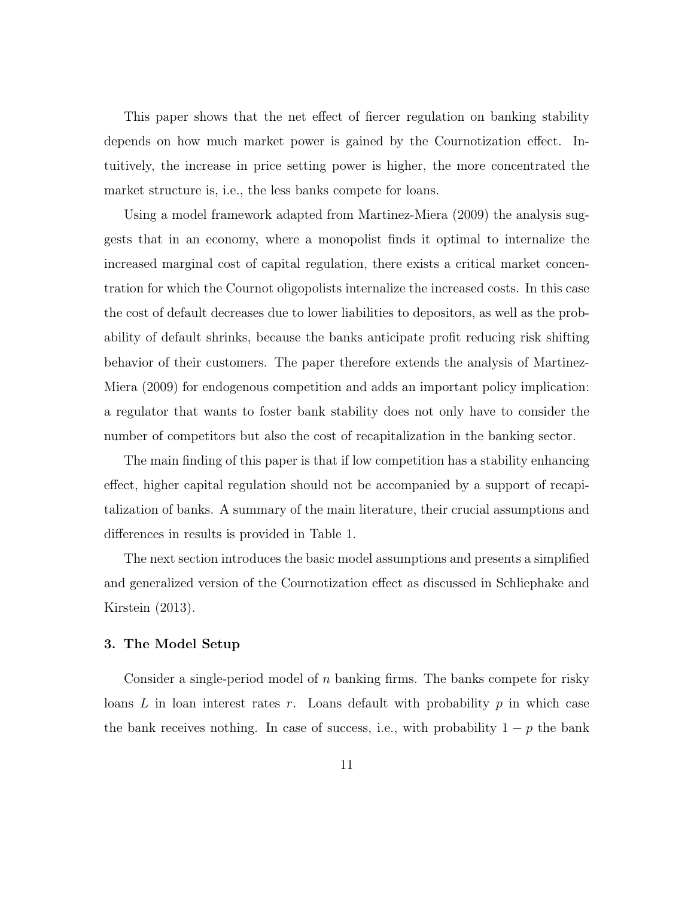This paper shows that the net effect of fiercer regulation on banking stability depends on how much market power is gained by the Cournotization effect. Intuitively, the increase in price setting power is higher, the more concentrated the market structure is, i.e., the less banks compete for loans.

Using a model framework adapted from Martinez-Miera (2009) the analysis suggests that in an economy, where a monopolist finds it optimal to internalize the increased marginal cost of capital regulation, there exists a critical market concentration for which the Cournot oligopolists internalize the increased costs. In this case the cost of default decreases due to lower liabilities to depositors, as well as the probability of default shrinks, because the banks anticipate profit reducing risk shifting behavior of their customers. The paper therefore extends the analysis of Martinez-Miera (2009) for endogenous competition and adds an important policy implication: a regulator that wants to foster bank stability does not only have to consider the number of competitors but also the cost of recapitalization in the banking sector.

The main finding of this paper is that if low competition has a stability enhancing effect, higher capital regulation should not be accompanied by a support of recapitalization of banks. A summary of the main literature, their crucial assumptions and differences in results is provided in Table 1.

The next section introduces the basic model assumptions and presents a simplified and generalized version of the Cournotization effect as discussed in Schliephake and Kirstein (2013).

#### 3. The Model Setup

Consider a single-period model of n banking firms. The banks compete for risky loans  $L$  in loan interest rates r. Loans default with probability  $p$  in which case the bank receives nothing. In case of success, i.e., with probability  $1 - p$  the bank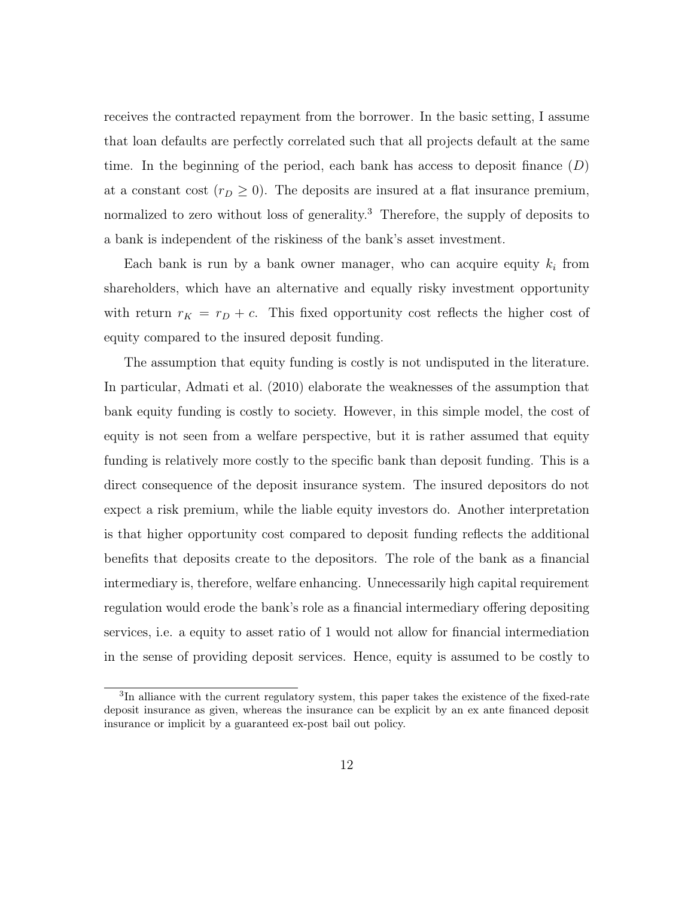receives the contracted repayment from the borrower. In the basic setting, I assume that loan defaults are perfectly correlated such that all projects default at the same time. In the beginning of the period, each bank has access to deposit finance  $(D)$ at a constant cost  $(r_D \geq 0)$ . The deposits are insured at a flat insurance premium, normalized to zero without loss of generality.<sup>3</sup> Therefore, the supply of deposits to a bank is independent of the riskiness of the bank's asset investment.

Each bank is run by a bank owner manager, who can acquire equity  $k_i$  from shareholders, which have an alternative and equally risky investment opportunity with return  $r_K = r_D + c$ . This fixed opportunity cost reflects the higher cost of equity compared to the insured deposit funding.

The assumption that equity funding is costly is not undisputed in the literature. In particular, Admati et al. (2010) elaborate the weaknesses of the assumption that bank equity funding is costly to society. However, in this simple model, the cost of equity is not seen from a welfare perspective, but it is rather assumed that equity funding is relatively more costly to the specific bank than deposit funding. This is a direct consequence of the deposit insurance system. The insured depositors do not expect a risk premium, while the liable equity investors do. Another interpretation is that higher opportunity cost compared to deposit funding reflects the additional benefits that deposits create to the depositors. The role of the bank as a financial intermediary is, therefore, welfare enhancing. Unnecessarily high capital requirement regulation would erode the bank's role as a financial intermediary offering depositing services, i.e. a equity to asset ratio of 1 would not allow for financial intermediation in the sense of providing deposit services. Hence, equity is assumed to be costly to

<sup>&</sup>lt;sup>3</sup>In alliance with the current regulatory system, this paper takes the existence of the fixed-rate deposit insurance as given, whereas the insurance can be explicit by an ex ante financed deposit insurance or implicit by a guaranteed ex-post bail out policy.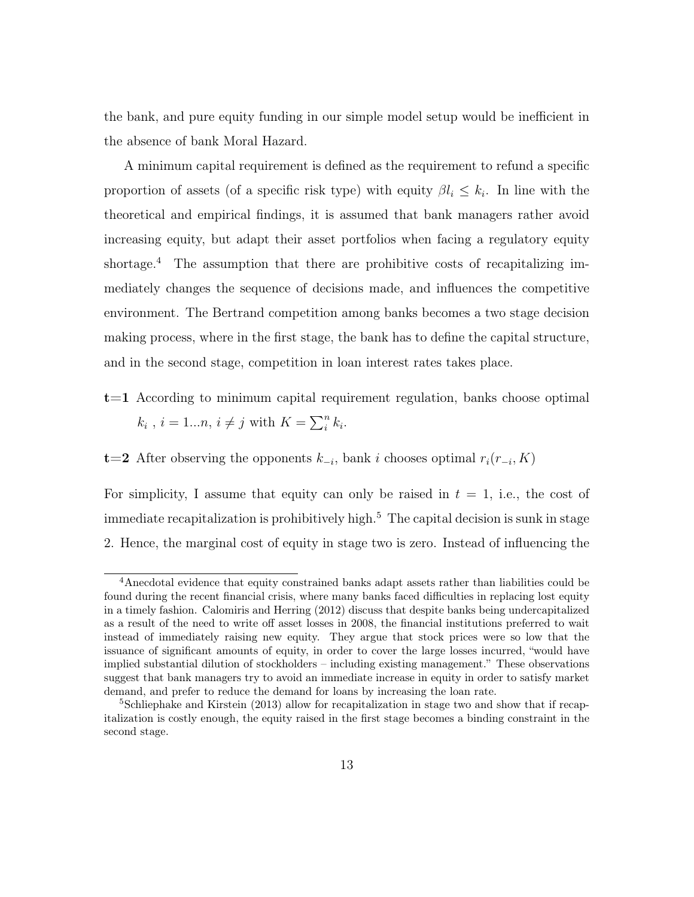the bank, and pure equity funding in our simple model setup would be inefficient in the absence of bank Moral Hazard.

A minimum capital requirement is defined as the requirement to refund a specific proportion of assets (of a specific risk type) with equity  $\beta l_i \leq k_i$ . In line with the theoretical and empirical findings, it is assumed that bank managers rather avoid increasing equity, but adapt their asset portfolios when facing a regulatory equity shortage.<sup>4</sup> The assumption that there are prohibitive costs of recapitalizing immediately changes the sequence of decisions made, and influences the competitive environment. The Bertrand competition among banks becomes a two stage decision making process, where in the first stage, the bank has to define the capital structure, and in the second stage, competition in loan interest rates takes place.

t=1 According to minimum capital requirement regulation, banks choose optimal  $k_i$ ,  $i = 1...n$ ,  $i \neq j$  with  $K = \sum_i^n k_i$ .

**t**=2 After observing the opponents  $k_{-i}$ , bank i chooses optimal  $r_i(r_{-i}, K)$ 

For simplicity, I assume that equity can only be raised in  $t = 1$ , i.e., the cost of immediate recapitalization is prohibitively high.<sup>5</sup> The capital decision is sunk in stage 2. Hence, the marginal cost of equity in stage two is zero. Instead of influencing the

<sup>4</sup>Anecdotal evidence that equity constrained banks adapt assets rather than liabilities could be found during the recent financial crisis, where many banks faced difficulties in replacing lost equity in a timely fashion. Calomiris and Herring (2012) discuss that despite banks being undercapitalized as a result of the need to write off asset losses in 2008, the financial institutions preferred to wait instead of immediately raising new equity. They argue that stock prices were so low that the issuance of significant amounts of equity, in order to cover the large losses incurred, "would have implied substantial dilution of stockholders – including existing management." These observations suggest that bank managers try to avoid an immediate increase in equity in order to satisfy market demand, and prefer to reduce the demand for loans by increasing the loan rate.

<sup>&</sup>lt;sup>5</sup>Schliephake and Kirstein (2013) allow for recapitalization in stage two and show that if recapitalization is costly enough, the equity raised in the first stage becomes a binding constraint in the second stage.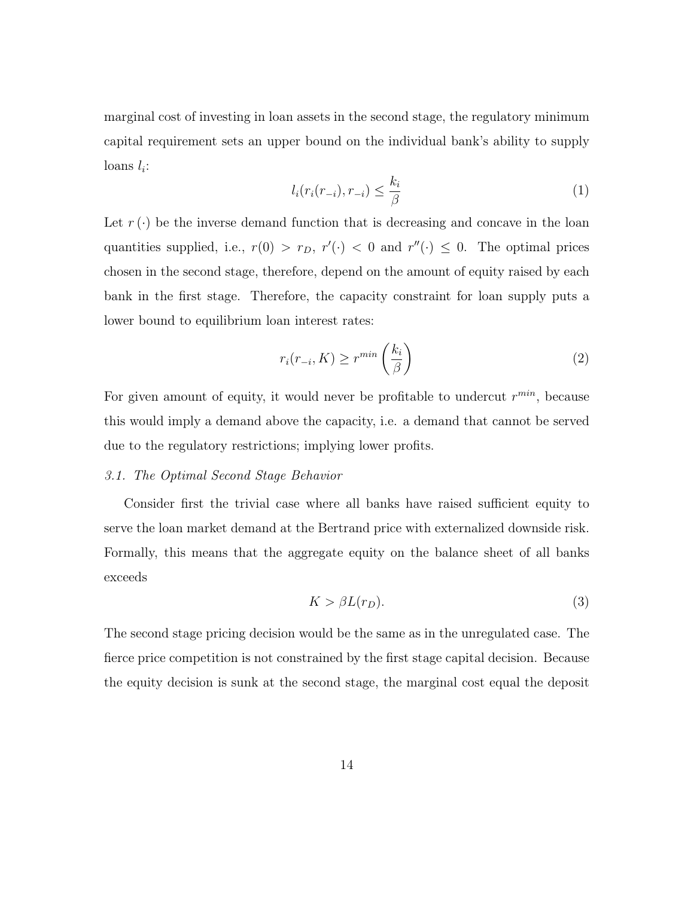marginal cost of investing in loan assets in the second stage, the regulatory minimum capital requirement sets an upper bound on the individual bank's ability to supply  $\text{loans } l_i$ :

$$
l_i(r_i(r_{-i}), r_{-i}) \le \frac{k_i}{\beta} \tag{1}
$$

Let  $r(\cdot)$  be the inverse demand function that is decreasing and concave in the loan quantities supplied, i.e.,  $r(0) > r_D$ ,  $r'(\cdot) < 0$  and  $r''(\cdot) \leq 0$ . The optimal prices chosen in the second stage, therefore, depend on the amount of equity raised by each bank in the first stage. Therefore, the capacity constraint for loan supply puts a lower bound to equilibrium loan interest rates:

$$
r_i(r_{-i}, K) \ge r^{min} \left(\frac{k_i}{\beta}\right)
$$
 (2)

For given amount of equity, it would never be profitable to undercut  $r^{min}$ , because this would imply a demand above the capacity, i.e. a demand that cannot be served due to the regulatory restrictions; implying lower profits.

#### 3.1. The Optimal Second Stage Behavior

Consider first the trivial case where all banks have raised sufficient equity to serve the loan market demand at the Bertrand price with externalized downside risk. Formally, this means that the aggregate equity on the balance sheet of all banks exceeds

$$
K > \beta L(r_D). \tag{3}
$$

The second stage pricing decision would be the same as in the unregulated case. The fierce price competition is not constrained by the first stage capital decision. Because the equity decision is sunk at the second stage, the marginal cost equal the deposit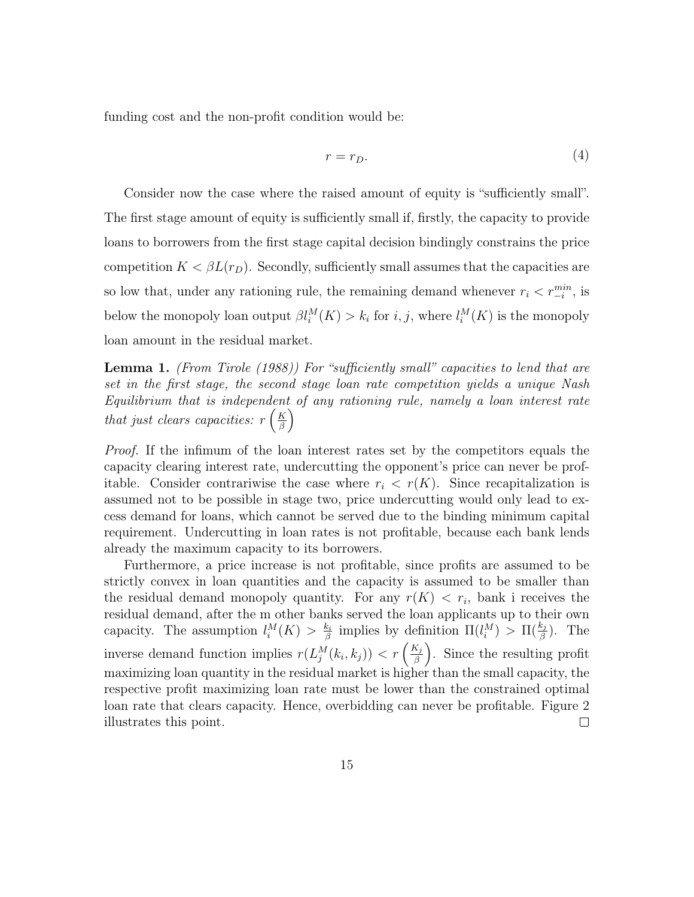funding cost and the non-profit condition would be:

$$
r = r_D. \tag{4}
$$

Consider now the case where the raised amount of equity is "sufficiently small". The first stage amount of equity is sufficiently small if, firstly, the capacity to provide loans to borrowers from the first stage capital decision bindingly constrains the price competition  $K < \beta L(r_D)$ . Secondly, sufficiently small assumes that the capacities are so low that, under any rationing rule, the remaining demand whenever  $r_i < r_{-i}^{min}$ , is below the monopoly loan output  $\beta l_i^M(K) > k_i$  for  $i, j$ , where  $l_i^M(K)$  is the monopoly loan amount in the residual market.

Lemma 1. (From Tirole (1988)) For "sufficiently small" capacities to lend that are set in the first stage, the second stage loan rate competition yields a unique Nash Equilibrium that is independent of any rationing rule, namely a loan interest rate that just clears capacities:  $r\left(\frac{K}{\beta}\right)$  $\frac{K}{\beta}\Big)$ 

Proof. If the infimum of the loan interest rates set by the competitors equals the capacity clearing interest rate, undercutting the opponent's price can never be profitable. Consider contrariwise the case where  $r_i \le r(K)$ . Since recapitalization is assumed not to be possible in stage two, price undercutting would only lead to excess demand for loans, which cannot be served due to the binding minimum capital requirement. Undercutting in loan rates is not profitable, because each bank lends already the maximum capacity to its borrowers.

Furthermore, a price increase is not profitable, since profits are assumed to be strictly convex in loan quantities and the capacity is assumed to be smaller than the residual demand monopoly quantity. For any  $r(K) < r_i$ , bank i receives the residual demand, after the m other banks served the loan applicants up to their own capacity. The assumption  $l_i^M(K) > \frac{k_i}{\beta}$  $\frac{k_i}{\beta}$  implies by definition  $\Pi(l_i^M) > \Pi(\frac{k_j}{\beta})$ . The inverse demand function implies  $r(L_j^M(k_i, k_j)) < r\left(\frac{K_j}{\beta}\right)$  $\left(\frac{K_j}{\beta}\right)$ . Since the resulting profit maximizing loan quantity in the residual market is higher than the small capacity, the respective profit maximizing loan rate must be lower than the constrained optimal loan rate that clears capacity. Hence, overbidding can never be profitable. Figure 2 illustrates this point.  $\Box$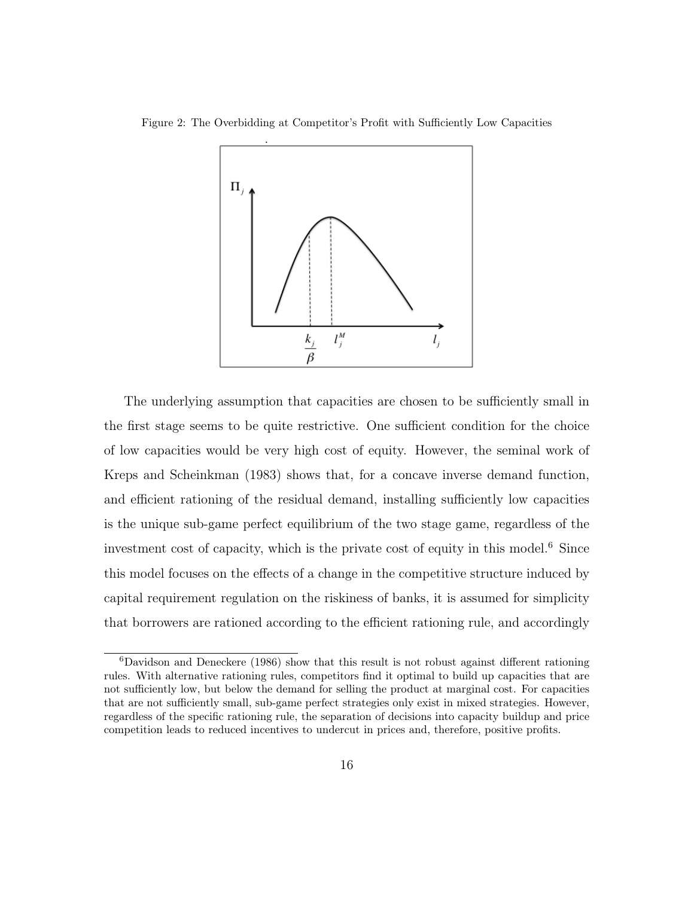



The underlying assumption that capacities are chosen to be sufficiently small in the first stage seems to be quite restrictive. One sufficient condition for the choice of low capacities would be very high cost of equity. However, the seminal work of Kreps and Scheinkman (1983) shows that, for a concave inverse demand function, and efficient rationing of the residual demand, installing sufficiently low capacities is the unique sub-game perfect equilibrium of the two stage game, regardless of the investment cost of capacity, which is the private cost of equity in this model.<sup>6</sup> Since this model focuses on the effects of a change in the competitive structure induced by capital requirement regulation on the riskiness of banks, it is assumed for simplicity that borrowers are rationed according to the efficient rationing rule, and accordingly

<sup>6</sup>Davidson and Deneckere (1986) show that this result is not robust against different rationing rules. With alternative rationing rules, competitors find it optimal to build up capacities that are not sufficiently low, but below the demand for selling the product at marginal cost. For capacities that are not sufficiently small, sub-game perfect strategies only exist in mixed strategies. However, regardless of the specific rationing rule, the separation of decisions into capacity buildup and price competition leads to reduced incentives to undercut in prices and, therefore, positive profits.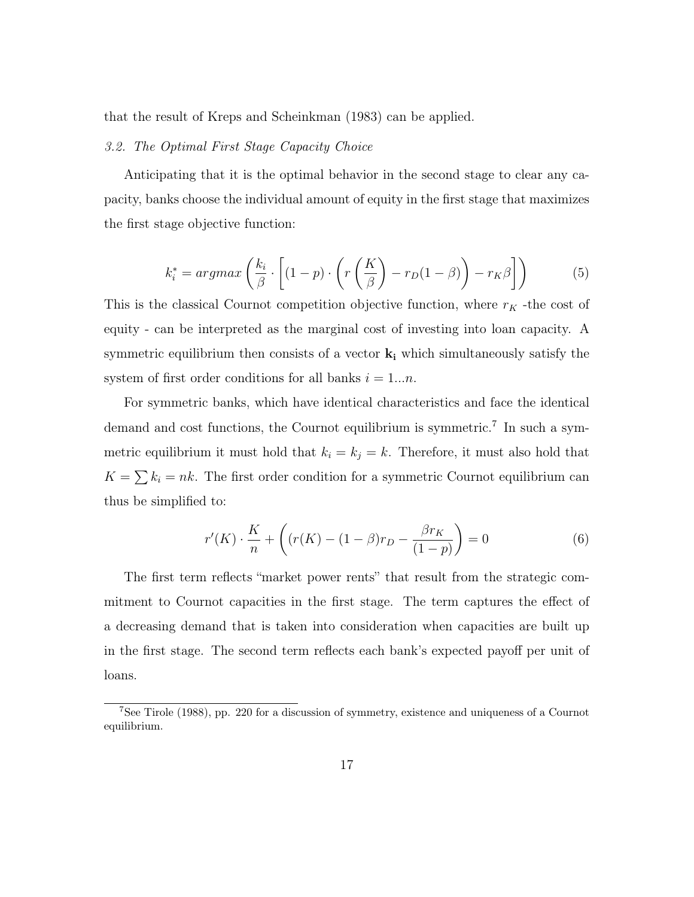that the result of Kreps and Scheinkman (1983) can be applied.

#### 3.2. The Optimal First Stage Capacity Choice

Anticipating that it is the optimal behavior in the second stage to clear any capacity, banks choose the individual amount of equity in the first stage that maximizes the first stage objective function:

$$
k_i^* = \operatorname{argmax}\left(\frac{k_i}{\beta} \cdot \left[ (1-p) \cdot \left( r\left(\frac{K}{\beta}\right) - r_D(1-\beta) \right) - r_K \beta \right] \right) \tag{5}
$$

This is the classical Cournot competition objective function, where  $r_K$  -the cost of equity - can be interpreted as the marginal cost of investing into loan capacity. A symmetric equilibrium then consists of a vector  $k_i$  which simultaneously satisfy the system of first order conditions for all banks  $i = 1...n$ .

For symmetric banks, which have identical characteristics and face the identical demand and cost functions, the Cournot equilibrium is symmetric.<sup>7</sup> In such a symmetric equilibrium it must hold that  $k_i = k_j = k$ . Therefore, it must also hold that  $K = \sum k_i = nk$ . The first order condition for a symmetric Cournot equilibrium can thus be simplified to:

$$
r'(K) \cdot \frac{K}{n} + \left( (r(K) - (1 - \beta)r_D - \frac{\beta r_K}{(1 - p)} \right) = 0
$$
 (6)

The first term reflects "market power rents" that result from the strategic commitment to Cournot capacities in the first stage. The term captures the effect of a decreasing demand that is taken into consideration when capacities are built up in the first stage. The second term reflects each bank's expected payoff per unit of loans.

<sup>7</sup>See Tirole (1988), pp. 220 for a discussion of symmetry, existence and uniqueness of a Cournot equilibrium.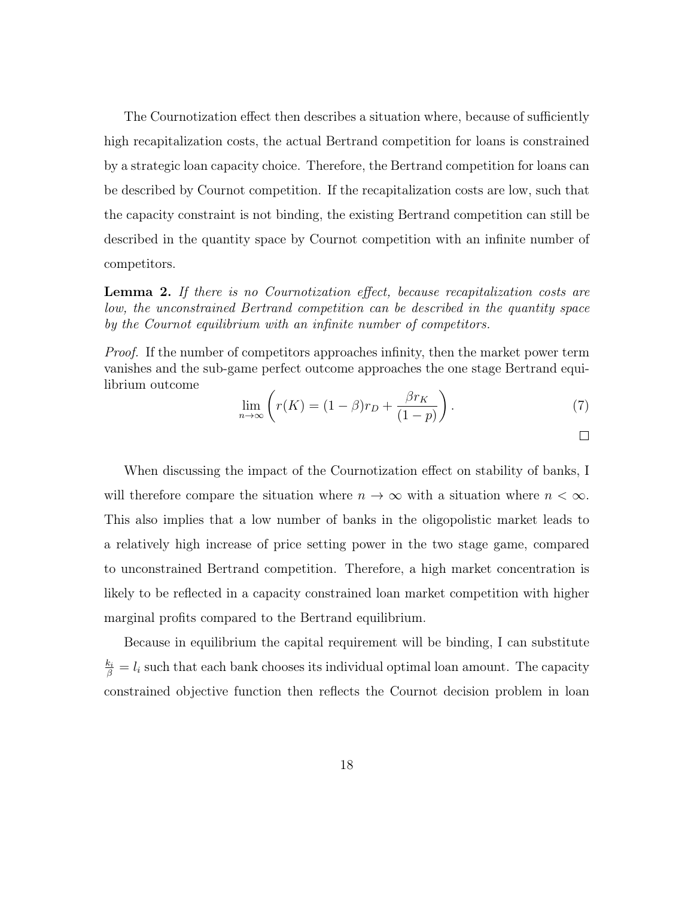The Cournotization effect then describes a situation where, because of sufficiently high recapitalization costs, the actual Bertrand competition for loans is constrained by a strategic loan capacity choice. Therefore, the Bertrand competition for loans can be described by Cournot competition. If the recapitalization costs are low, such that the capacity constraint is not binding, the existing Bertrand competition can still be described in the quantity space by Cournot competition with an infinite number of competitors.

**Lemma 2.** If there is no Cournotization effect, because recapitalization costs are low, the unconstrained Bertrand competition can be described in the quantity space by the Cournot equilibrium with an infinite number of competitors.

Proof. If the number of competitors approaches infinity, then the market power term vanishes and the sub-game perfect outcome approaches the one stage Bertrand equilibrium outcome

$$
\lim_{n \to \infty} \left( r(K) = (1 - \beta)r_D + \frac{\beta r_K}{(1 - p)} \right). \tag{7}
$$

 $\Box$ 

When discussing the impact of the Cournotization effect on stability of banks, I will therefore compare the situation where  $n \to \infty$  with a situation where  $n < \infty$ . This also implies that a low number of banks in the oligopolistic market leads to a relatively high increase of price setting power in the two stage game, compared to unconstrained Bertrand competition. Therefore, a high market concentration is likely to be reflected in a capacity constrained loan market competition with higher marginal profits compared to the Bertrand equilibrium.

Because in equilibrium the capital requirement will be binding, I can substitute  $\frac{k_i}{\beta} = l_i$  such that each bank chooses its individual optimal loan amount. The capacity constrained objective function then reflects the Cournot decision problem in loan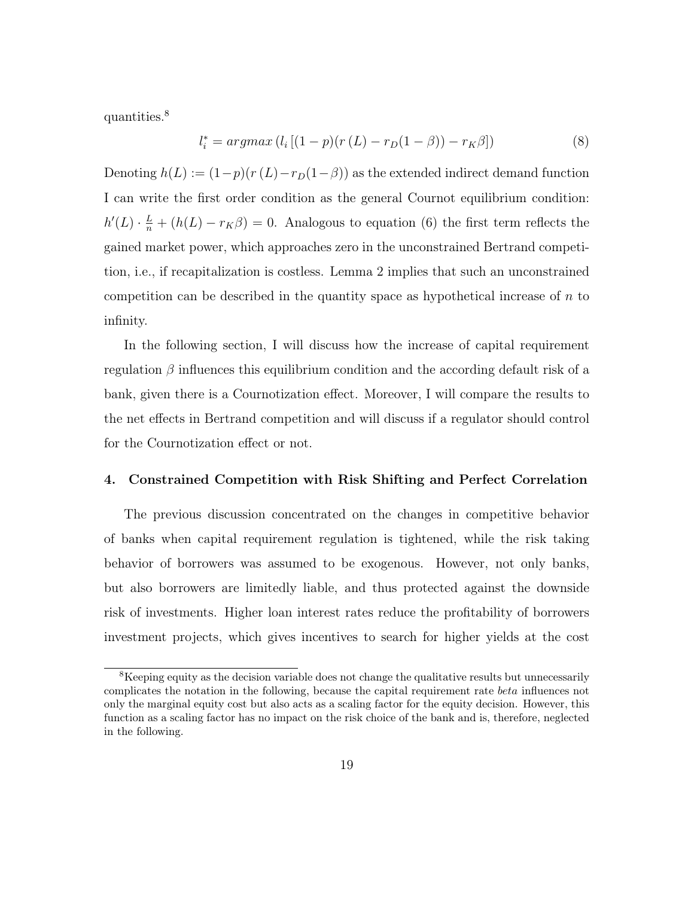quantities.<sup>8</sup>

$$
l_i^* = argmax(l_i [(1-p)(r(L) - r_D(1-\beta)) - r_K\beta])
$$
\n(8)

Denoting  $h(L) := (1-p)(r(L)-r_D(1-\beta))$  as the extended indirect demand function I can write the first order condition as the general Cournot equilibrium condition:  $h'(L) \cdot \frac{L}{n} + (h(L) - r_K \beta) = 0$ . Analogous to equation (6) the first term reflects the gained market power, which approaches zero in the unconstrained Bertrand competition, i.e., if recapitalization is costless. Lemma 2 implies that such an unconstrained competition can be described in the quantity space as hypothetical increase of  $n$  to infinity.

In the following section, I will discuss how the increase of capital requirement regulation  $\beta$  influences this equilibrium condition and the according default risk of a bank, given there is a Cournotization effect. Moreover, I will compare the results to the net effects in Bertrand competition and will discuss if a regulator should control for the Cournotization effect or not.

#### 4. Constrained Competition with Risk Shifting and Perfect Correlation

The previous discussion concentrated on the changes in competitive behavior of banks when capital requirement regulation is tightened, while the risk taking behavior of borrowers was assumed to be exogenous. However, not only banks, but also borrowers are limitedly liable, and thus protected against the downside risk of investments. Higher loan interest rates reduce the profitability of borrowers investment projects, which gives incentives to search for higher yields at the cost

<sup>&</sup>lt;sup>8</sup>Keeping equity as the decision variable does not change the qualitative results but unnecessarily complicates the notation in the following, because the capital requirement rate beta influences not only the marginal equity cost but also acts as a scaling factor for the equity decision. However, this function as a scaling factor has no impact on the risk choice of the bank and is, therefore, neglected in the following.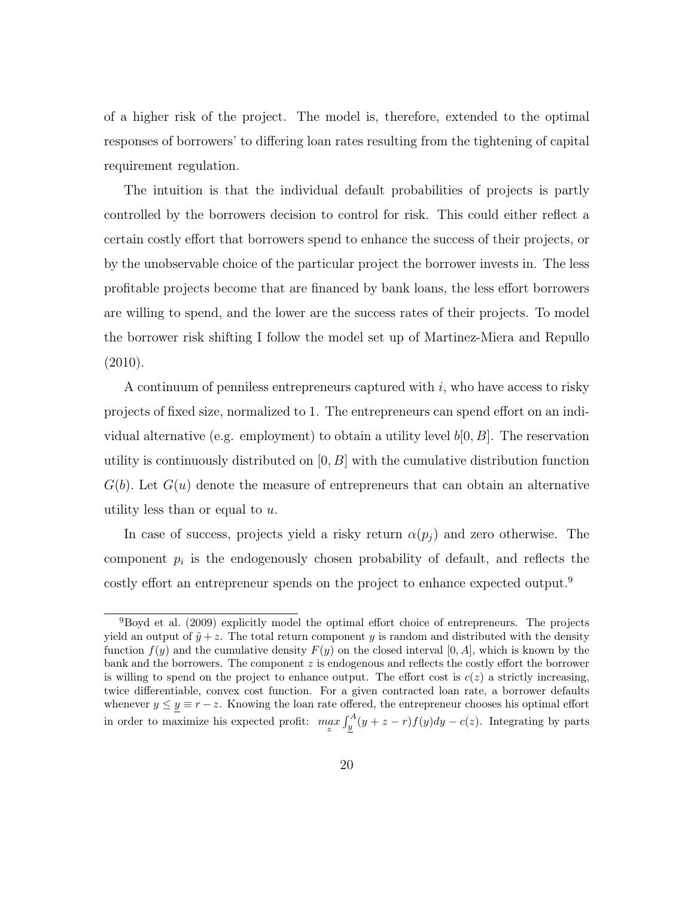of a higher risk of the project. The model is, therefore, extended to the optimal responses of borrowers' to differing loan rates resulting from the tightening of capital requirement regulation.

The intuition is that the individual default probabilities of projects is partly controlled by the borrowers decision to control for risk. This could either reflect a certain costly effort that borrowers spend to enhance the success of their projects, or by the unobservable choice of the particular project the borrower invests in. The less profitable projects become that are financed by bank loans, the less effort borrowers are willing to spend, and the lower are the success rates of their projects. To model the borrower risk shifting I follow the model set up of Martinez-Miera and Repullo (2010).

A continuum of penniless entrepreneurs captured with  $i$ , who have access to risky projects of fixed size, normalized to 1. The entrepreneurs can spend effort on an individual alternative (e.g. employment) to obtain a utility level  $b[0, B]$ . The reservation utility is continuously distributed on  $[0, B]$  with the cumulative distribution function  $G(b)$ . Let  $G(u)$  denote the measure of entrepreneurs that can obtain an alternative utility less than or equal to  $u$ .

In case of success, projects yield a risky return  $\alpha(p_j)$  and zero otherwise. The component  $p_i$  is the endogenously chosen probability of default, and reflects the costly effort an entrepreneur spends on the project to enhance expected output.<sup>9</sup>

<sup>&</sup>lt;sup>9</sup>Boyd et al. (2009) explicitly model the optimal effort choice of entrepreneurs. The projects yield an output of  $\tilde{y}+z$ . The total return component y is random and distributed with the density function  $f(y)$  and the cumulative density  $F(y)$  on the closed interval [0, A], which is known by the bank and the borrowers. The component z is endogenous and reflects the costly effort the borrower is willing to spend on the project to enhance output. The effort cost is  $c(z)$  a strictly increasing, twice differentiable, convex cost function. For a given contracted loan rate, a borrower defaults whenever  $y \le y \equiv r - z$ . Knowing the loan rate offered, the entrepreneur chooses his optimal effort in order to maximize his expected profit:  $\max_{z} \int_{\underline{y}}^{A} (y + z - r) f(y) dy - c(z)$ . Integrating by parts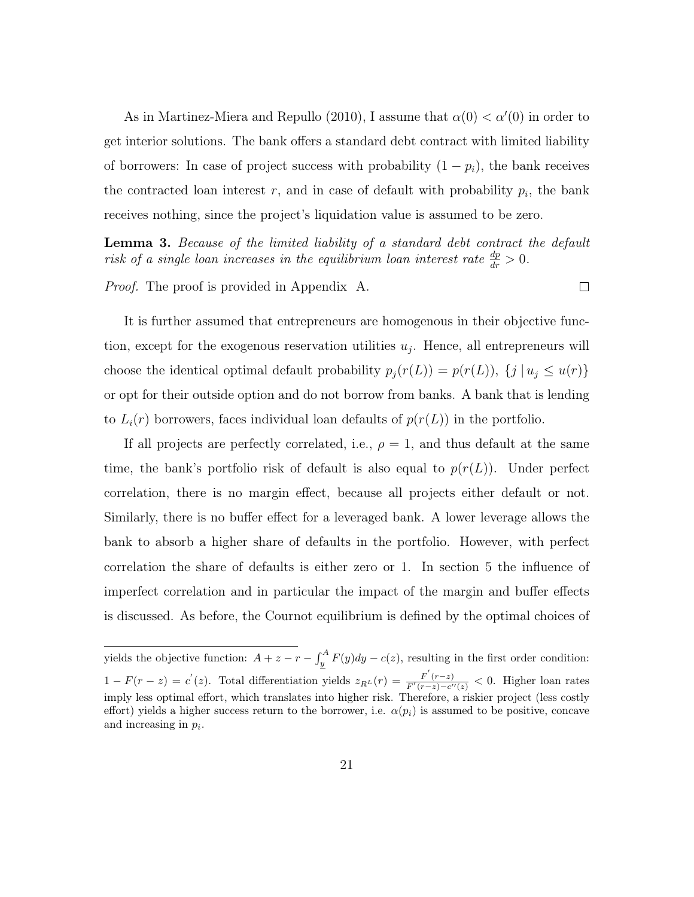As in Martinez-Miera and Repullo (2010), I assume that  $\alpha(0) < \alpha'(0)$  in order to get interior solutions. The bank offers a standard debt contract with limited liability of borrowers: In case of project success with probability  $(1 - p_i)$ , the bank receives the contracted loan interest  $r$ , and in case of default with probability  $p_i$ , the bank receives nothing, since the project's liquidation value is assumed to be zero.

Lemma 3. Because of the limited liability of a standard debt contract the default risk of a single loan increases in the equilibrium loan interest rate  $\frac{dp}{dr} > 0$ .

 $\Box$ 

Proof. The proof is provided in Appendix A.

It is further assumed that entrepreneurs are homogenous in their objective function, except for the exogenous reservation utilities  $u_j$ . Hence, all entrepreneurs will choose the identical optimal default probability  $p_j(r(L)) = p(r(L))$ ,  $\{j | u_j \leq u(r)\}\$ or opt for their outside option and do not borrow from banks. A bank that is lending to  $L_i(r)$  borrowers, faces individual loan defaults of  $p(r(L))$  in the portfolio.

If all projects are perfectly correlated, i.e.,  $\rho = 1$ , and thus default at the same time, the bank's portfolio risk of default is also equal to  $p(r(L))$ . Under perfect correlation, there is no margin effect, because all projects either default or not. Similarly, there is no buffer effect for a leveraged bank. A lower leverage allows the bank to absorb a higher share of defaults in the portfolio. However, with perfect correlation the share of defaults is either zero or 1. In section 5 the influence of imperfect correlation and in particular the impact of the margin and buffer effects is discussed. As before, the Cournot equilibrium is defined by the optimal choices of

yields the objective function:  $A + z - r - \int_{y}^{A} F(y) dy - c(z)$ , resulting in the first order condition:  $1 - F(r - z) = c'(z)$ . Total differentiation yields  $z_{R^L}(r) = \frac{F'(r-z)}{F'(r-z)-c'}$  $\frac{F(r-z)}{F'(r-z)-c''(z)} < 0$ . Higher loan rates imply less optimal effort, which translates into higher risk. Therefore, a riskier project (less costly effort) yields a higher success return to the borrower, i.e.  $\alpha(p_i)$  is assumed to be positive, concave and increasing in  $p_i$ .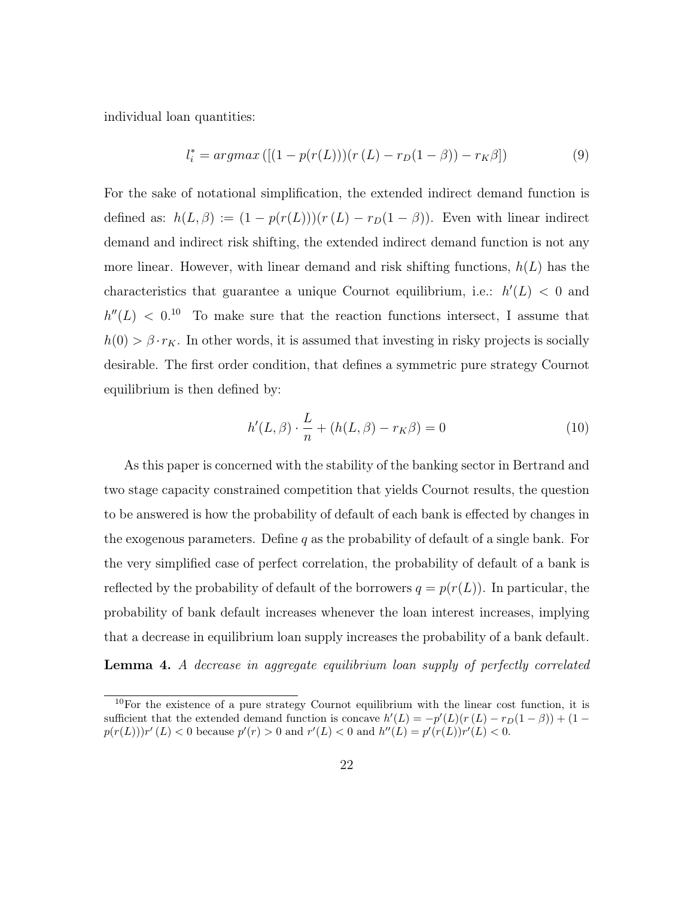individual loan quantities:

$$
l_i^* = argmax\left( [(1 - p(r(L)))(r(L) - r_D(1 - \beta)) - r_K\beta] \right)
$$
\n(9)

For the sake of notational simplification, the extended indirect demand function is defined as:  $h(L, \beta) := (1 - p(r(L)))(r(L) - r_D(1 - \beta))$ . Even with linear indirect demand and indirect risk shifting, the extended indirect demand function is not any more linear. However, with linear demand and risk shifting functions,  $h(L)$  has the characteristics that guarantee a unique Cournot equilibrium, i.e.:  $h'(L) < 0$  and  $h''(L) < 0.10$  To make sure that the reaction functions intersect, I assume that  $h(0) > \beta \cdot r_K$ . In other words, it is assumed that investing in risky projects is socially desirable. The first order condition, that defines a symmetric pure strategy Cournot equilibrium is then defined by:

$$
h'(L,\beta) \cdot \frac{L}{n} + (h(L,\beta) - r_K\beta) = 0 \tag{10}
$$

As this paper is concerned with the stability of the banking sector in Bertrand and two stage capacity constrained competition that yields Cournot results, the question to be answered is how the probability of default of each bank is effected by changes in the exogenous parameters. Define q as the probability of default of a single bank. For the very simplified case of perfect correlation, the probability of default of a bank is reflected by the probability of default of the borrowers  $q = p(r(L))$ . In particular, the probability of bank default increases whenever the loan interest increases, implying that a decrease in equilibrium loan supply increases the probability of a bank default.

Lemma 4. A decrease in aggregate equilibrium loan supply of perfectly correlated

 $10$ For the existence of a pure strategy Cournot equilibrium with the linear cost function, it is sufficient that the extended demand function is concave  $h'(L) = -p'(L)(r(L) - r_D(1 - \beta)) + (1$  $p(r(L))$   $r'(L) < 0$  because  $p'(r) > 0$  and  $r'(L) < 0$  and  $h''(L) = p'(r(L))$   $r'(L) < 0$ .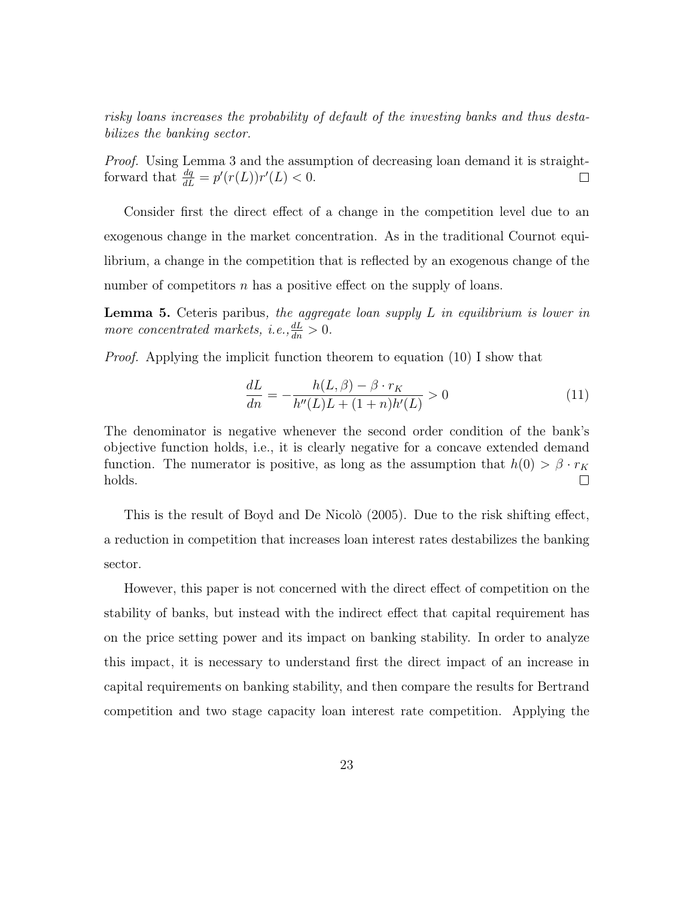risky loans increases the probability of default of the investing banks and thus destabilizes the banking sector.

Proof. Using Lemma 3 and the assumption of decreasing loan demand it is straightforward that  $\frac{dq}{dL} = p'(r(L))r'(L) < 0.$  $\Box$ 

Consider first the direct effect of a change in the competition level due to an exogenous change in the market concentration. As in the traditional Cournot equilibrium, a change in the competition that is reflected by an exogenous change of the number of competitors  $n$  has a positive effect on the supply of loans.

**Lemma 5.** Ceteris paribus, the aggregate loan supply L in equilibrium is lower in more concentrated markets, i.e.,  $\frac{dL}{dn} > 0$ .

Proof. Applying the implicit function theorem to equation (10) I show that

$$
\frac{dL}{dn} = -\frac{h(L,\beta) - \beta \cdot r_K}{h''(L)L + (1+n)h'(L)} > 0
$$
\n(11)

The denominator is negative whenever the second order condition of the bank's objective function holds, i.e., it is clearly negative for a concave extended demand function. The numerator is positive, as long as the assumption that  $h(0) > \beta \cdot r_K$ holds.  $\Box$ 

This is the result of Boyd and De Nicolò (2005). Due to the risk shifting effect, a reduction in competition that increases loan interest rates destabilizes the banking sector.

However, this paper is not concerned with the direct effect of competition on the stability of banks, but instead with the indirect effect that capital requirement has on the price setting power and its impact on banking stability. In order to analyze this impact, it is necessary to understand first the direct impact of an increase in capital requirements on banking stability, and then compare the results for Bertrand competition and two stage capacity loan interest rate competition. Applying the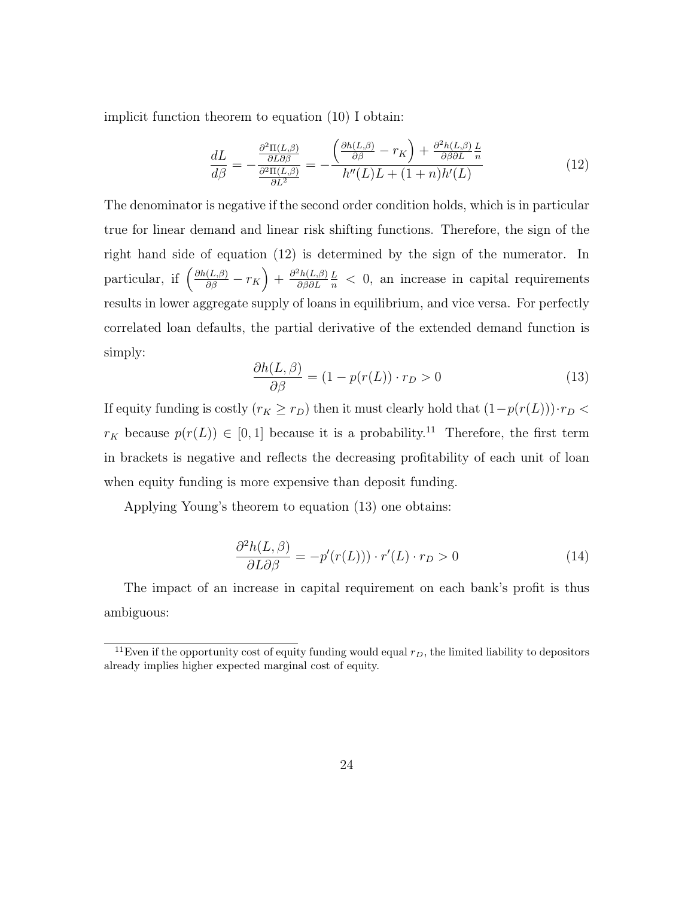implicit function theorem to equation (10) I obtain:

$$
\frac{dL}{d\beta} = -\frac{\frac{\partial^2 \Pi(L,\beta)}{\partial L \partial \beta}}{\frac{\partial^2 \Pi(L,\beta)}{\partial L^2}} = -\frac{\left(\frac{\partial h(L,\beta)}{\partial \beta} - r_K\right) + \frac{\partial^2 h(L,\beta)}{\partial \beta \partial L} \frac{L}{n}}{h''(L)L + (1+n)h'(L)}
$$
(12)

The denominator is negative if the second order condition holds, which is in particular true for linear demand and linear risk shifting functions. Therefore, the sign of the right hand side of equation (12) is determined by the sign of the numerator. In particular, if  $\left(\frac{\partial h(L,\beta)}{\partial \beta} - r_K\right) + \frac{\partial^2 h(L,\beta)}{\partial \beta \partial L}$ ∂β∂L  $\frac{L}{n}$  < 0, an increase in capital requirements results in lower aggregate supply of loans in equilibrium, and vice versa. For perfectly correlated loan defaults, the partial derivative of the extended demand function is simply:

$$
\frac{\partial h(L,\beta)}{\partial \beta} = (1 - p(r(L)) \cdot r_D > 0 \tag{13}
$$

If equity funding is costly  $(r_K \ge r_D)$  then it must clearly hold that  $(1-p(r(L))) \cdot r_D$  $r_K$  because  $p(r(L)) \in [0, 1]$  because it is a probability.<sup>11</sup> Therefore, the first term in brackets is negative and reflects the decreasing profitability of each unit of loan when equity funding is more expensive than deposit funding.

Applying Young's theorem to equation (13) one obtains:

$$
\frac{\partial^2 h(L,\beta)}{\partial L \partial \beta} = -p'(r(L))) \cdot r'(L) \cdot r_D > 0 \tag{14}
$$

The impact of an increase in capital requirement on each bank's profit is thus ambiguous:

<sup>&</sup>lt;sup>11</sup>Even if the opportunity cost of equity funding would equal  $r_D$ , the limited liability to depositors already implies higher expected marginal cost of equity.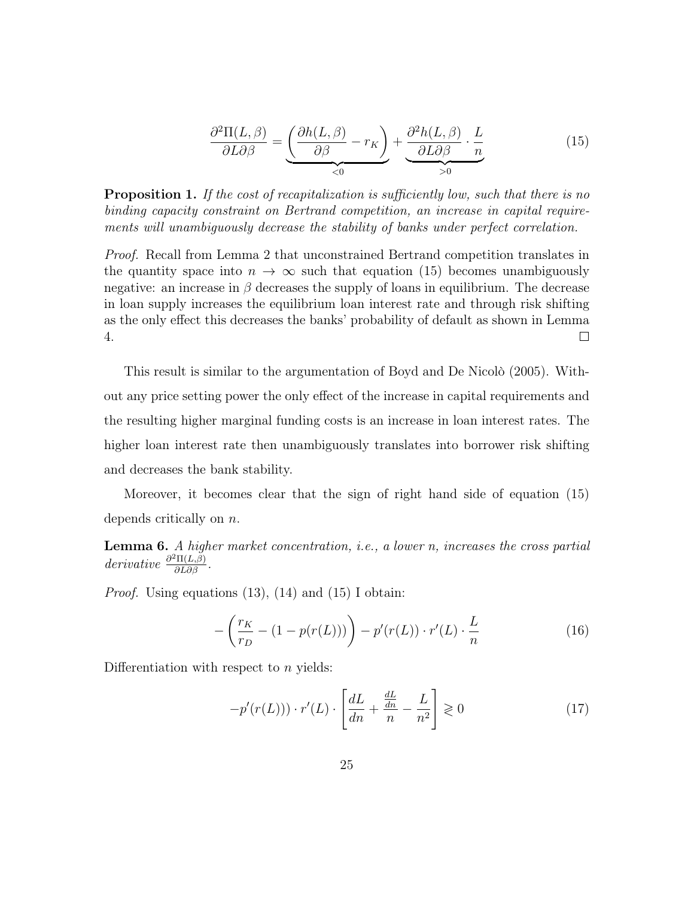$$
\frac{\partial^2 \Pi(L,\beta)}{\partial L \partial \beta} = \underbrace{\left(\frac{\partial h(L,\beta)}{\partial \beta} - r_K\right)}_{< 0} + \underbrace{\frac{\partial^2 h(L,\beta)}{\partial L \partial \beta} \cdot \frac{L}{n}}_{> 0} \tag{15}
$$

**Proposition 1.** If the cost of recapitalization is sufficiently low, such that there is no binding capacity constraint on Bertrand competition, an increase in capital requirements will unambiguously decrease the stability of banks under perfect correlation.

Proof. Recall from Lemma 2 that unconstrained Bertrand competition translates in the quantity space into  $n \to \infty$  such that equation (15) becomes unambiguously negative: an increase in  $\beta$  decreases the supply of loans in equilibrium. The decrease in loan supply increases the equilibrium loan interest rate and through risk shifting as the only effect this decreases the banks' probability of default as shown in Lemma 4.  $\Box$ 

This result is similar to the argumentation of Boyd and De Nicolò (2005). Without any price setting power the only effect of the increase in capital requirements and the resulting higher marginal funding costs is an increase in loan interest rates. The higher loan interest rate then unambiguously translates into borrower risk shifting and decreases the bank stability.

Moreover, it becomes clear that the sign of right hand side of equation (15) depends critically on n.

Lemma 6. A higher market concentration, i.e., a lower n, increases the cross partial derivative  $\frac{\partial^2 \Pi(L,\beta)}{\partial L \partial \beta}$ .

*Proof.* Using equations  $(13)$ ,  $(14)$  and  $(15)$  I obtain:

$$
-\left(\frac{r_K}{r_D} - (1 - p(r(L)))\right) - p'(r(L)) \cdot r'(L) \cdot \frac{L}{n}
$$
\n(16)

Differentiation with respect to  $n$  yields:

$$
-p'(r(L))) \cdot r'(L) \cdot \left[\frac{dL}{dn} + \frac{\frac{dL}{dn}}{n} - \frac{L}{n^2}\right] \geq 0 \tag{17}
$$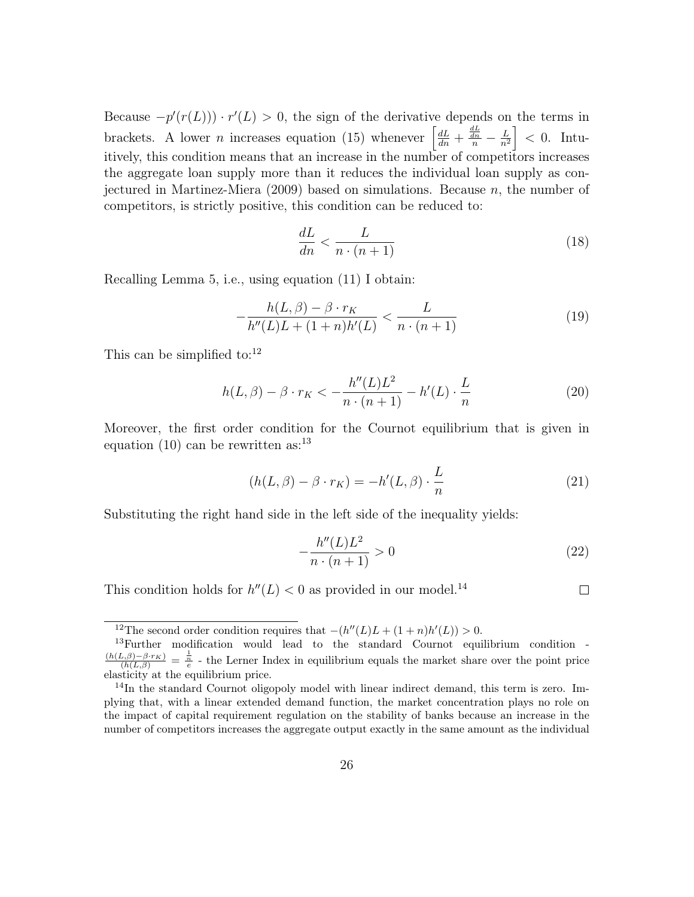Because  $-p'(r(L)) \cdot r'(L) > 0$ , the sign of the derivative depends on the terms in brackets. A lower *n* increases equation (15) whenever  $\left[\frac{dL}{dn} + \frac{\frac{dL}{dn}}{n} - \frac{L}{n^2}\right]$  $\left\lfloor \frac{L}{n^2} \right\rfloor < 0$ . Intuitively, this condition means that an increase in the number of competitors increases the aggregate loan supply more than it reduces the individual loan supply as conjectured in Martinez-Miera (2009) based on simulations. Because n, the number of competitors, is strictly positive, this condition can be reduced to:

$$
\frac{dL}{dn} < \frac{L}{n \cdot (n+1)}\tag{18}
$$

Recalling Lemma 5, i.e., using equation (11) I obtain:

$$
-\frac{h(L,\beta) - \beta \cdot r_K}{h''(L)L + (1+n)h'(L)} < \frac{L}{n \cdot (n+1)}\tag{19}
$$

This can be simplified to: $12$ 

$$
h(L,\beta) - \beta \cdot r_K < -\frac{h''(L)L^2}{n \cdot (n+1)} - h'(L) \cdot \frac{L}{n} \tag{20}
$$

Moreover, the first order condition for the Cournot equilibrium that is given in equation (10) can be rewritten as:  $13$ 

$$
(h(L, \beta) - \beta \cdot r_K) = -h'(L, \beta) \cdot \frac{L}{n}
$$
\n(21)

Substituting the right hand side in the left side of the inequality yields:

$$
-\frac{h''(L)L^2}{n \cdot (n+1)} > 0\tag{22}
$$

This condition holds for  $h''(L) < 0$  as provided in our model.<sup>14</sup>

 $\Box$ 

<sup>&</sup>lt;sup>12</sup>The second order condition requires that  $-(h''(L)L + (1 + n)h'(L)) > 0$ .

<sup>13</sup>Further modification would lead to the standard Cournot equilibrium condition -  $\frac{(h(L,\beta)-\beta\cdot r_K)}{(h(L,\beta))}=\frac{1}{e}$  - the Lerner Index in equilibrium equals the market share over the point price elasticity at the equilibrium price.

<sup>&</sup>lt;sup>14</sup>In the standard Cournot oligopoly model with linear indirect demand, this term is zero. Implying that, with a linear extended demand function, the market concentration plays no role on the impact of capital requirement regulation on the stability of banks because an increase in the number of competitors increases the aggregate output exactly in the same amount as the individual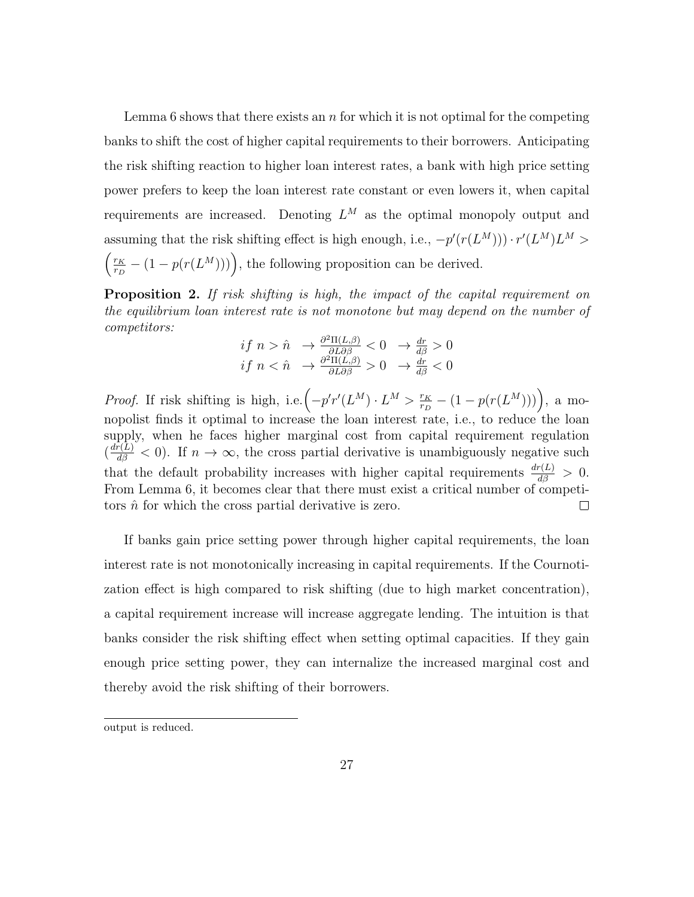Lemma 6 shows that there exists an  $n$  for which it is not optimal for the competing banks to shift the cost of higher capital requirements to their borrowers. Anticipating the risk shifting reaction to higher loan interest rates, a bank with high price setting power prefers to keep the loan interest rate constant or even lowers it, when capital requirements are increased. Denoting  $L^M$  as the optimal monopoly output and assuming that the risk shifting effect is high enough, i.e.,  $-p'(r(L^M))\cdot r'(L^M)L^M >$  $\int$   $\frac{r_K}{\sqrt{2}}$  $\frac{r_K}{r_D} - (1 - p(r(L^M)))$ , the following proposition can be derived.

Proposition 2. If risk shifting is high, the impact of the capital requirement on the equilibrium loan interest rate is not monotone but may depend on the number of competitors:

$$
\begin{array}{rcl}\nif \; n > \hat{n} & \rightarrow \frac{\partial^2 \Pi(L,\beta)}{\partial L \partial \beta} < 0 \quad \rightarrow \frac{dr}{d\beta} > 0 \\
if \; n < \hat{n} & \rightarrow \frac{\partial^2 \Pi(L,\beta)}{\partial L \partial \beta} > 0 \quad \rightarrow \frac{dr}{d\beta} < 0\n\end{array}
$$

*Proof.* If risk shifting is high, i.e.  $\left(-p'r'(L^M) \cdot L^M \right) \frac{r_K}{r_H}$  $\frac{r_K}{r_D} - (1 - p(r(L^M))) \Big), \text{ a mon}$ nopolist finds it optimal to increase the loan interest rate, i.e., to reduce the loan supply, when he faces higher marginal cost from capital requirement regulation  $\left(\frac{d\bar{r}(L)}{d\beta}\right)$   $\leq$  0). If  $n \to \infty$ , the cross partial derivative is unambiguously negative such that the default probability increases with higher capital requirements  $\frac{dr(L)}{d\beta} > 0$ . From Lemma 6, it becomes clear that there must exist a critical number of competitors  $\hat{n}$  for which the cross partial derivative is zero.  $\Box$ 

If banks gain price setting power through higher capital requirements, the loan interest rate is not monotonically increasing in capital requirements. If the Cournotization effect is high compared to risk shifting (due to high market concentration), a capital requirement increase will increase aggregate lending. The intuition is that banks consider the risk shifting effect when setting optimal capacities. If they gain enough price setting power, they can internalize the increased marginal cost and thereby avoid the risk shifting of their borrowers.

output is reduced.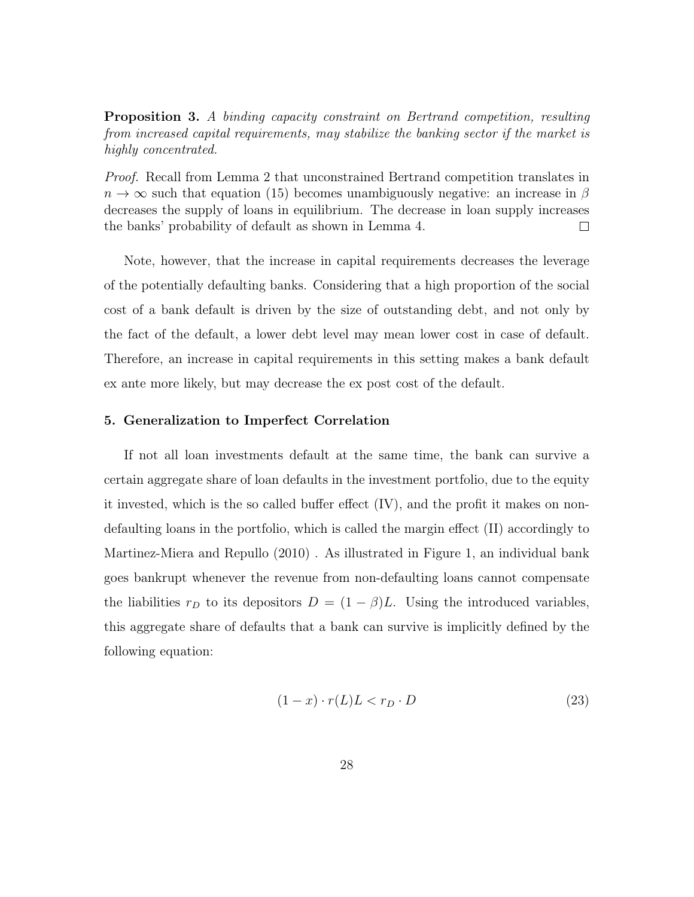**Proposition 3.** A binding capacity constraint on Bertrand competition, resulting from increased capital requirements, may stabilize the banking sector if the market is highly concentrated.

Proof. Recall from Lemma 2 that unconstrained Bertrand competition translates in  $n \to \infty$  such that equation (15) becomes unambiguously negative: an increase in  $\beta$ decreases the supply of loans in equilibrium. The decrease in loan supply increases the banks' probability of default as shown in Lemma 4.  $\Box$ 

Note, however, that the increase in capital requirements decreases the leverage of the potentially defaulting banks. Considering that a high proportion of the social cost of a bank default is driven by the size of outstanding debt, and not only by the fact of the default, a lower debt level may mean lower cost in case of default. Therefore, an increase in capital requirements in this setting makes a bank default ex ante more likely, but may decrease the ex post cost of the default.

#### 5. Generalization to Imperfect Correlation

If not all loan investments default at the same time, the bank can survive a certain aggregate share of loan defaults in the investment portfolio, due to the equity it invested, which is the so called buffer effect (IV), and the profit it makes on nondefaulting loans in the portfolio, which is called the margin effect (II) accordingly to Martinez-Miera and Repullo (2010) . As illustrated in Figure 1, an individual bank goes bankrupt whenever the revenue from non-defaulting loans cannot compensate the liabilities  $r_D$  to its depositors  $D = (1 - \beta)L$ . Using the introduced variables, this aggregate share of defaults that a bank can survive is implicitly defined by the following equation:

$$
(1-x) \cdot r(L)L < r_D \cdot D \tag{23}
$$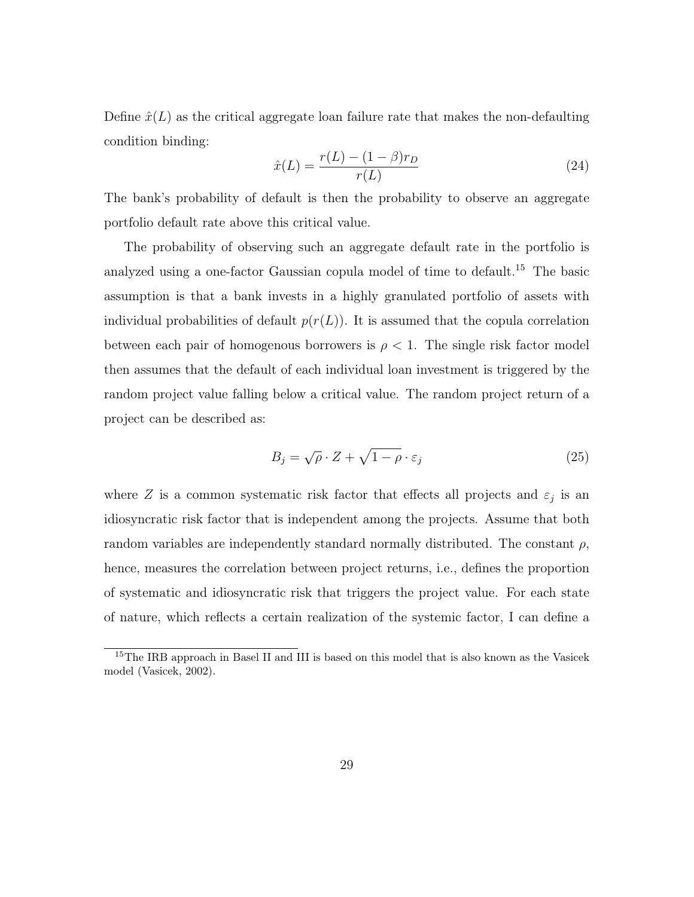Define  $\hat{x}(L)$  as the critical aggregate loan failure rate that makes the non-defaulting condition binding:

$$
\hat{x}(L) = \frac{r(L) - (1 - \beta)r_D}{r(L)}
$$
\n(24)

The bank's probability of default is then the probability to observe an aggregate portfolio default rate above this critical value.

The probability of observing such an aggregate default rate in the portfolio is analyzed using a one-factor Gaussian copula model of time to default.<sup>15</sup> The basic assumption is that a bank invests in a highly granulated portfolio of assets with individual probabilities of default  $p(r(L))$ . It is assumed that the copula correlation between each pair of homogenous borrowers is  $\rho < 1$ . The single risk factor model then assumes that the default of each individual loan investment is triggered by the random project value falling below a critical value. The random project return of a project can be described as:

$$
B_j = \sqrt{\rho} \cdot Z + \sqrt{1 - \rho} \cdot \varepsilon_j \tag{25}
$$

where Z is a common systematic risk factor that effects all projects and  $\varepsilon_j$  is an idiosyncratic risk factor that is independent among the projects. Assume that both random variables are independently standard normally distributed. The constant  $\rho$ , hence, measures the correlation between project returns, i.e., defines the proportion of systematic and idiosyncratic risk that triggers the project value. For each state of nature, which reflects a certain realization of the systemic factor, I can define a

<sup>&</sup>lt;sup>15</sup>The IRB approach in Basel II and III is based on this model that is also known as the Vasicek model (Vasicek, 2002).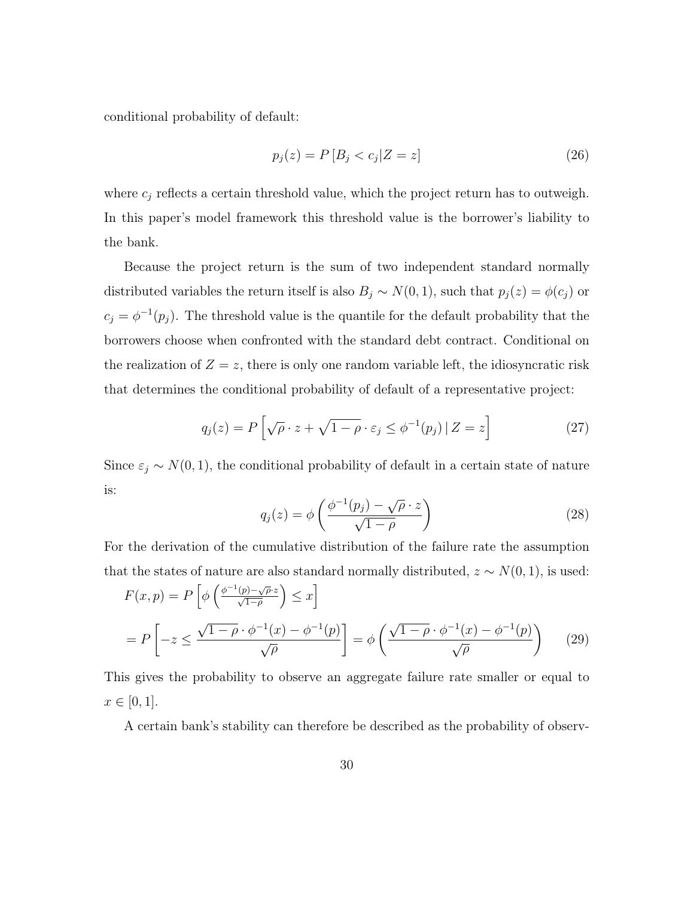conditional probability of default:

$$
p_j(z) = P[B_j < c_j | Z = z] \tag{26}
$$

where  $c_j$  reflects a certain threshold value, which the project return has to outweigh. In this paper's model framework this threshold value is the borrower's liability to the bank.

Because the project return is the sum of two independent standard normally distributed variables the return itself is also  $B_j \sim N(0, 1)$ , such that  $p_j(z) = \phi(c_j)$  or  $c_j = \phi^{-1}(p_j)$ . The threshold value is the quantile for the default probability that the borrowers choose when confronted with the standard debt contract. Conditional on the realization of  $Z = z$ , there is only one random variable left, the idiosyncratic risk that determines the conditional probability of default of a representative project:

$$
q_j(z) = P\left[\sqrt{\rho} \cdot z + \sqrt{1 - \rho} \cdot \varepsilon_j \le \phi^{-1}(p_j) \,|\, Z = z\right] \tag{27}
$$

Since  $\varepsilon_j \sim N(0, 1)$ , the conditional probability of default in a certain state of nature is:

$$
q_j(z) = \phi\left(\frac{\phi^{-1}(p_j) - \sqrt{\rho} \cdot z}{\sqrt{1 - \rho}}\right)
$$
\n(28)

For the derivation of the cumulative distribution of the failure rate the assumption that the states of nature are also standard normally distributed,  $z \sim N(0, 1)$ , is used:

$$
F(x, p) = P\left[\phi\left(\frac{\phi^{-1}(p) - \sqrt{\rho} \cdot z}{\sqrt{1 - \rho}}\right) \le x\right]
$$
  
= 
$$
P\left[-z \le \frac{\sqrt{1 - \rho} \cdot \phi^{-1}(x) - \phi^{-1}(p)}{\sqrt{\rho}}\right] = \phi\left(\frac{\sqrt{1 - \rho} \cdot \phi^{-1}(x) - \phi^{-1}(p)}{\sqrt{\rho}}\right)
$$
 (29)

This gives the probability to observe an aggregate failure rate smaller or equal to  $x \in [0, 1].$ 

A certain bank's stability can therefore be described as the probability of observ-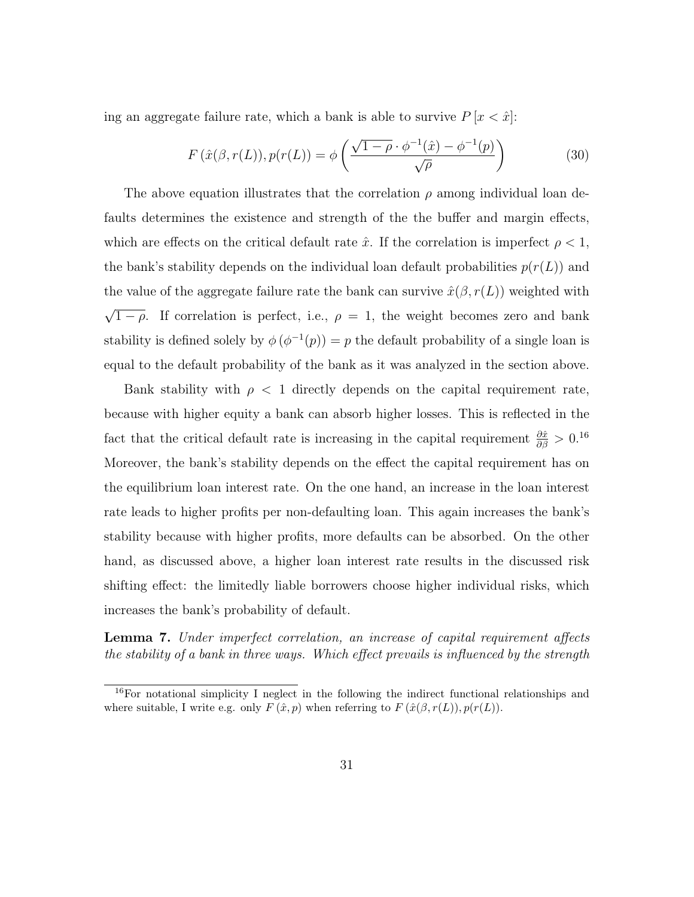ing an aggregate failure rate, which a bank is able to survive  $P[x \leq \hat{x}]$ :

$$
F(\hat{x}(\beta, r(L)), p(r(L)) = \phi\left(\frac{\sqrt{1-\rho} \cdot \phi^{-1}(\hat{x}) - \phi^{-1}(p)}{\sqrt{\rho}}\right)
$$
(30)

The above equation illustrates that the correlation  $\rho$  among individual loan defaults determines the existence and strength of the the buffer and margin effects, which are effects on the critical default rate  $\hat{x}$ . If the correlation is imperfect  $\rho < 1$ , the bank's stability depends on the individual loan default probabilities  $p(r(L))$  and the value of the aggregate failure rate the bank can survive  $\hat{x}(\beta, r(L))$  weighted with √  $\overline{1-\rho}$ . If correlation is perfect, i.e.,  $\rho = 1$ , the weight becomes zero and bank stability is defined solely by  $\phi(\phi^{-1}(p)) = p$  the default probability of a single loan is equal to the default probability of the bank as it was analyzed in the section above.

Bank stability with  $\rho < 1$  directly depends on the capital requirement rate, because with higher equity a bank can absorb higher losses. This is reflected in the fact that the critical default rate is increasing in the capital requirement  $\frac{\partial \hat{x}}{\partial \beta} > 0.16$ Moreover, the bank's stability depends on the effect the capital requirement has on the equilibrium loan interest rate. On the one hand, an increase in the loan interest rate leads to higher profits per non-defaulting loan. This again increases the bank's stability because with higher profits, more defaults can be absorbed. On the other hand, as discussed above, a higher loan interest rate results in the discussed risk shifting effect: the limitedly liable borrowers choose higher individual risks, which increases the bank's probability of default.

Lemma 7. Under imperfect correlation, an increase of capital requirement affects the stability of a bank in three ways. Which effect prevails is influenced by the strength

 $16$ For notational simplicity I neglect in the following the indirect functional relationships and where suitable, I write e.g. only  $F(\hat{x}, p)$  when referring to  $F(\hat{x}(\beta, r(L)), p(r(L))$ .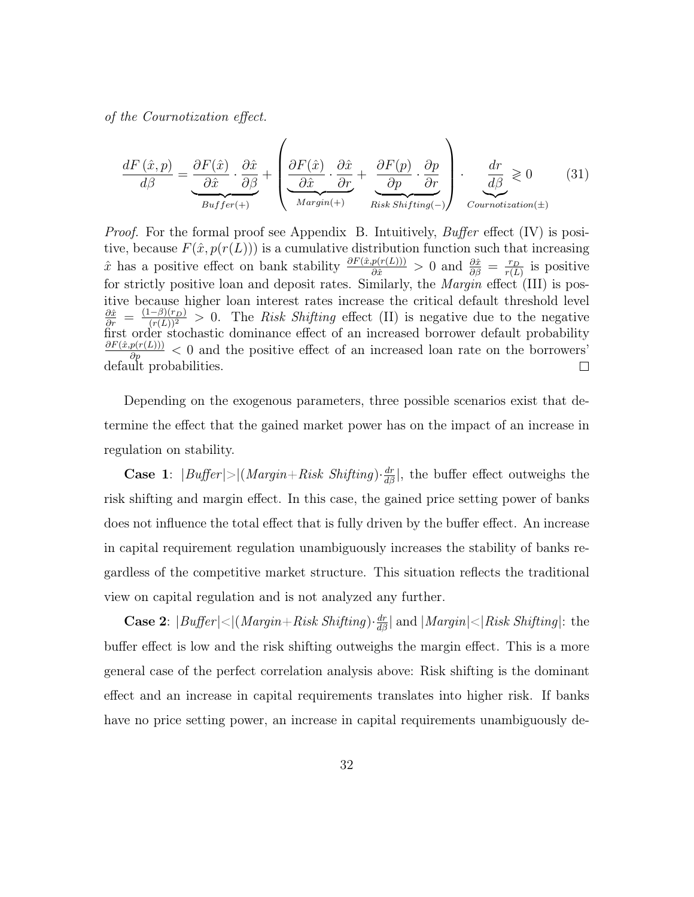of the Cournotization effect.

$$
\frac{dF(\hat{x},p)}{d\beta} = \underbrace{\frac{\partial F(\hat{x})}{\partial \hat{x}} \cdot \frac{\partial \hat{x}}{\partial \beta}}_{Buffer(+)} + \left( \underbrace{\frac{\partial F(\hat{x})}{\partial \hat{x}} \cdot \frac{\partial \hat{x}}{\partial r}}_{Margin(+)} + \underbrace{\frac{\partial F(p)}{\partial p} \cdot \frac{\partial p}{\partial r}}_{Risk\;Shifting(-)} \right) \cdot \underbrace{\frac{dr}{d\beta}}_{Contraction(\pm)} \ge 0 \tag{31}
$$

Proof. For the formal proof see Appendix B. Intuitively, Buffer effect (IV) is positive, because  $F(\hat{x}, p(r(L)))$  is a cumulative distribution function such that increasing  $\hat{x}$  has a positive effect on bank stability  $\frac{\partial F(\hat{x},p(r(L)))}{\partial \hat{x}} > 0$  and  $\frac{\partial \hat{x}}{\partial \beta} = \frac{r_D}{r(L)}$  $\frac{r_D}{r(L)}$  is positive for strictly positive loan and deposit rates. Similarly, the *Margin* effect (III) is positive because higher loan interest rates increase the critical default threshold level  $\frac{\partial \hat{x}}{\partial r} = \frac{(1-\beta)(r_D)}{(r(L))^2} > 0$ . The Risk Shifting effect (II) is negative due to the negative first order stochastic dominance effect of an increased borrower default probability  $\frac{\partial F(\hat{x}, p(r(L)))}{\partial p} < 0$  and the positive effect of an increased loan rate on the borrowers' default probabilities.

Depending on the exogenous parameters, three possible scenarios exist that determine the effect that the gained market power has on the impact of an increase in regulation on stability.

**Case 1**:  $|Bufler| > |(Margin + Risk Shifting) \cdot \frac{dr}{d\beta}|$ , the buffer effect outweighs the risk shifting and margin effect. In this case, the gained price setting power of banks does not influence the total effect that is fully driven by the buffer effect. An increase in capital requirement regulation unambiguously increases the stability of banks regardless of the competitive market structure. This situation reflects the traditional view on capital regulation and is not analyzed any further.

**Case 2**:  $|Buffer| \leq |(Margin + Risk Shifting) \cdot \frac{dr}{d\beta}|$  and  $|Margin| \leq |Risk Shifting|$ : the buffer effect is low and the risk shifting outweighs the margin effect. This is a more general case of the perfect correlation analysis above: Risk shifting is the dominant effect and an increase in capital requirements translates into higher risk. If banks have no price setting power, an increase in capital requirements unambiguously de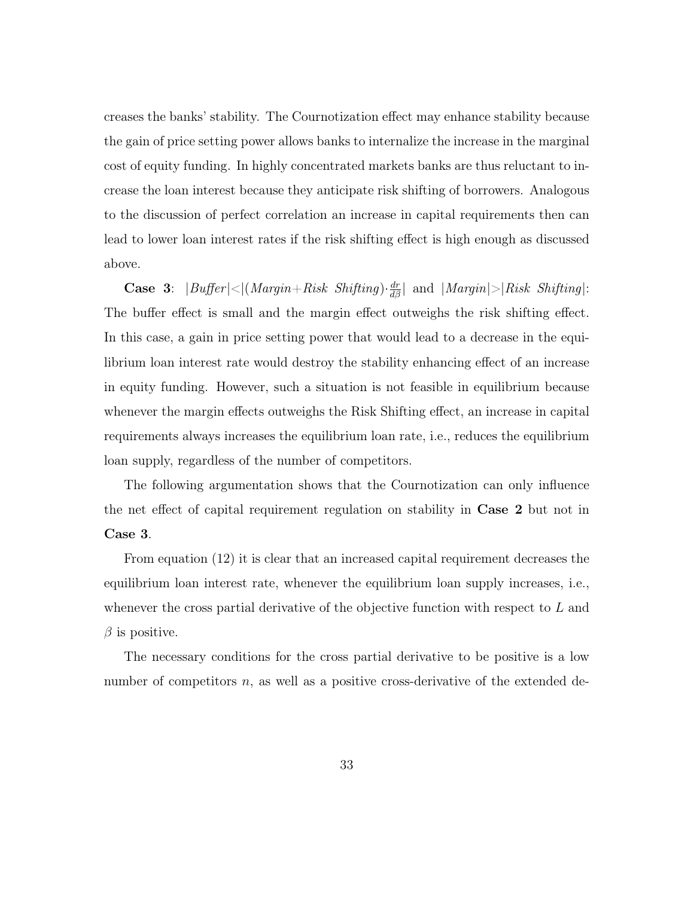creases the banks' stability. The Cournotization effect may enhance stability because the gain of price setting power allows banks to internalize the increase in the marginal cost of equity funding. In highly concentrated markets banks are thus reluctant to increase the loan interest because they anticipate risk shifting of borrowers. Analogous to the discussion of perfect correlation an increase in capital requirements then can lead to lower loan interest rates if the risk shifting effect is high enough as discussed above.

Case 3:  $|Buffer| < |(Margin + Risk \ Shifting) \cdot \frac{dr}{d\beta}|$  and  $|Margin| > |Risk \ Shifting|$ : The buffer effect is small and the margin effect outweighs the risk shifting effect. In this case, a gain in price setting power that would lead to a decrease in the equilibrium loan interest rate would destroy the stability enhancing effect of an increase in equity funding. However, such a situation is not feasible in equilibrium because whenever the margin effects outweighs the Risk Shifting effect, an increase in capital requirements always increases the equilibrium loan rate, i.e., reduces the equilibrium loan supply, regardless of the number of competitors.

The following argumentation shows that the Cournotization can only influence the net effect of capital requirement regulation on stability in Case 2 but not in Case 3.

From equation (12) it is clear that an increased capital requirement decreases the equilibrium loan interest rate, whenever the equilibrium loan supply increases, i.e., whenever the cross partial derivative of the objective function with respect to  $L$  and  $\beta$  is positive.

The necessary conditions for the cross partial derivative to be positive is a low number of competitors  $n$ , as well as a positive cross-derivative of the extended de-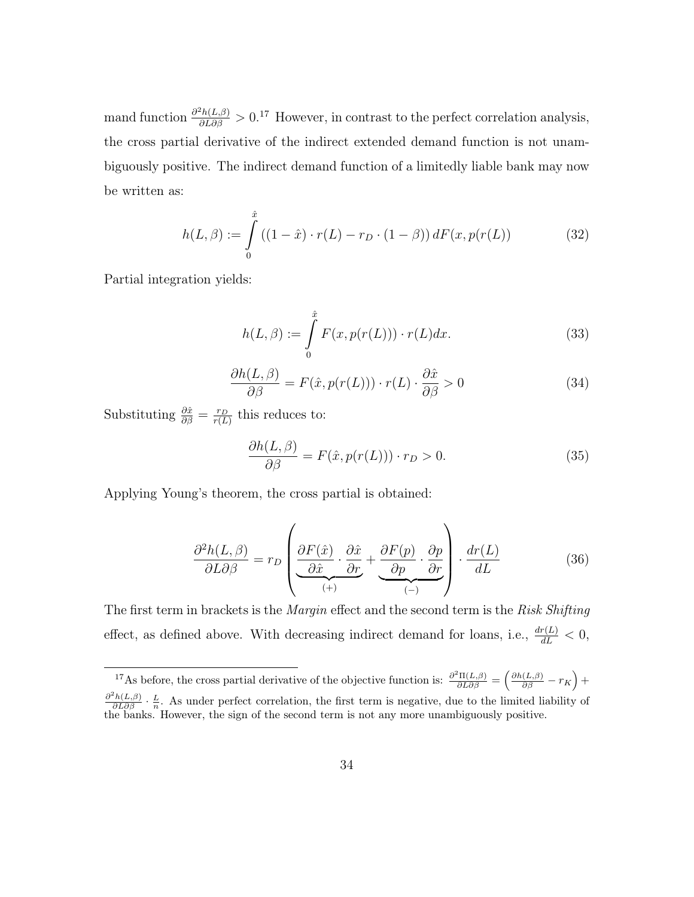mand function  $\frac{\partial^2 h(L,\beta)}{\partial L \partial \beta} > 0.17$  However, in contrast to the perfect correlation analysis, the cross partial derivative of the indirect extended demand function is not unambiguously positive. The indirect demand function of a limitedly liable bank may now be written as:

$$
h(L, \beta) := \int_{0}^{\hat{x}} ((1 - \hat{x}) \cdot r(L) - r_D \cdot (1 - \beta)) dF(x, p(r(L)) \tag{32}
$$

Partial integration yields:

$$
h(L, \beta) := \int_{0}^{\hat{x}} F(x, p(r(L))) \cdot r(L) dx.
$$
 (33)

$$
\frac{\partial h(L,\beta)}{\partial \beta} = F(\hat{x}, p(r(L))) \cdot r(L) \cdot \frac{\partial \hat{x}}{\partial \beta} > 0
$$
\n(34)

Substituting  $\frac{\partial \hat{x}}{\partial \beta} = \frac{r_D}{r(L)}$  $\frac{r_D}{r(L)}$  this reduces to:

$$
\frac{\partial h(L,\beta)}{\partial \beta} = F(\hat{x}, p(r(L))) \cdot r_D > 0.
$$
\n(35)

Applying Young's theorem, the cross partial is obtained:

$$
\frac{\partial^2 h(L,\beta)}{\partial L \partial \beta} = r_D \left( \underbrace{\frac{\partial F(\hat{x})}{\partial \hat{x}} \cdot \frac{\partial \hat{x}}{\partial r}}_{(+)} + \underbrace{\frac{\partial F(p)}{\partial p} \cdot \frac{\partial p}{\partial r}}_{(-)} \right) \cdot \frac{dr(L)}{dL} \tag{36}
$$

The first term in brackets is the *Margin* effect and the second term is the Risk Shifting effect, as defined above. With decreasing indirect demand for loans, i.e.,  $\frac{dr(L)}{dL} < 0$ ,

<sup>&</sup>lt;sup>17</sup>As before, the cross partial derivative of the objective function is:  $\frac{\partial^2 \Pi(L,\beta)}{\partial L \partial \beta} = \left( \frac{\partial h(L,\beta)}{\partial \beta} - r_K \right) +$  $\frac{\partial^2 h(L,\beta)}{\partial L \partial \beta} \cdot \frac{L}{n}$ . As under perfect correlation, the first term is negative, due to the limited liability of the banks. However, the sign of the second term is not any more unambiguously positive.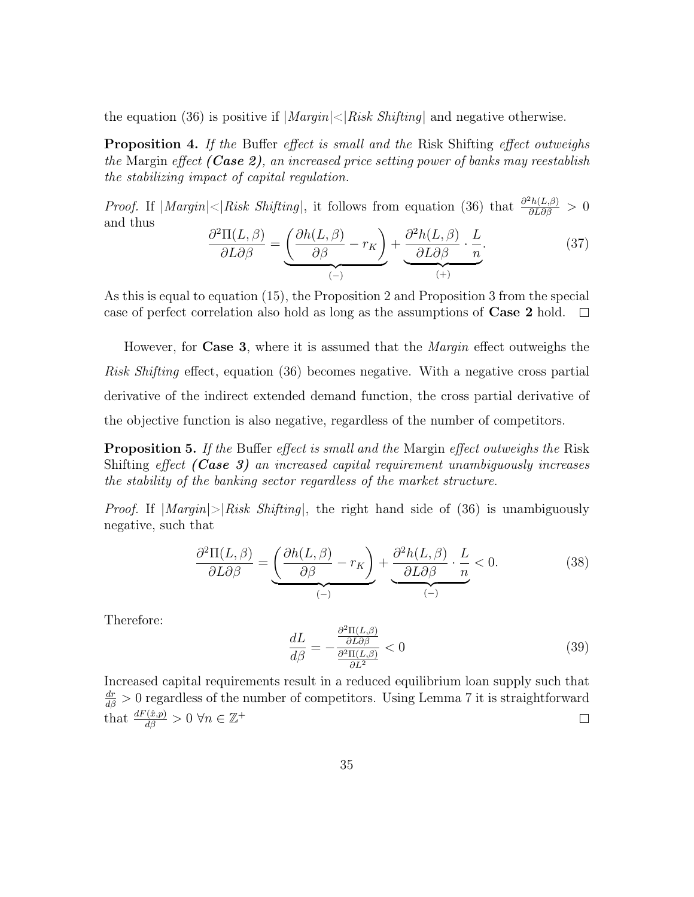the equation (36) is positive if  $|Margin| < |Risk\text{ Shifting}|$  and negative otherwise.

**Proposition 4.** If the Buffer effect is small and the Risk Shifting effect outweighs the Margin effect (Case 2), an increased price setting power of banks may reestablish the stabilizing impact of capital regulation.

*Proof.* If  $|Margin| < |Risk Shifting|$ , it follows from equation (36) that  $\frac{\partial^2 h(L,\beta)}{\partial L \partial \beta} > 0$ and thus

$$
\frac{\partial^2 \Pi(L,\beta)}{\partial L \partial \beta} = \underbrace{\left(\frac{\partial h(L,\beta)}{\partial \beta} - r_K\right)}_{(-)} + \underbrace{\frac{\partial^2 h(L,\beta)}{\partial L \partial \beta} \cdot \frac{L}{n}}_{(+)}.
$$
(37)

As this is equal to equation (15), the Proposition 2 and Proposition 3 from the special case of perfect correlation also hold as long as the assumptions of Case 2 hold.  $\Box$ 

However, for **Case 3**, where it is assumed that the *Margin* effect outweighs the Risk Shifting effect, equation (36) becomes negative. With a negative cross partial derivative of the indirect extended demand function, the cross partial derivative of the objective function is also negative, regardless of the number of competitors.

**Proposition 5.** If the Buffer effect is small and the Margin effect outweighs the Risk Shifting effect  $(Case 3)$  an increased capital requirement unambiguously increases the stability of the banking sector regardless of the market structure.

*Proof.* If  $|\text{Margin}| > |Risk\text{ Shifting}|$ , the right hand side of (36) is unambiguously negative, such that

$$
\frac{\partial^2 \Pi(L,\beta)}{\partial L \partial \beta} = \underbrace{\left(\frac{\partial h(L,\beta)}{\partial \beta} - r_K\right)}_{(-)} + \underbrace{\frac{\partial^2 h(L,\beta)}{\partial L \partial \beta} \cdot \frac{L}{n}}_{(-)} < 0. \tag{38}
$$

Therefore:

$$
\frac{dL}{d\beta} = -\frac{\frac{\partial^2 \Pi(L,\beta)}{\partial L \partial \beta}}{\frac{\partial^2 \Pi(L,\beta)}{\partial L^2}} < 0\tag{39}
$$

Increased capital requirements result in a reduced equilibrium loan supply such that  $\frac{dr}{d\beta} > 0$  regardless of the number of competitors. Using Lemma 7 it is straightforward that  $\frac{dF(\hat{x},p)}{d\beta} > 0 \,\forall n \in \mathbb{Z}^+$  $\Box$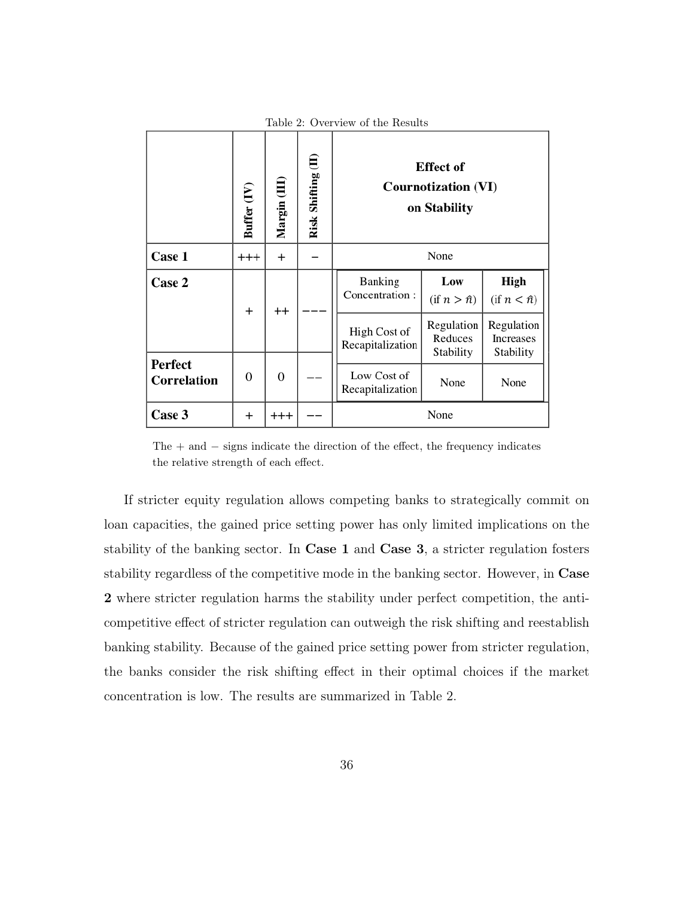|                        | Lable 2. Overview of the Results |                |                    |                                                                |                                    |                                      |  |  |  |  |  |
|------------------------|----------------------------------|----------------|--------------------|----------------------------------------------------------------|------------------------------------|--------------------------------------|--|--|--|--|--|
|                        | Buffer (IV)                      | Margin (III    | Risk Shifting (II) | <b>Effect</b> of<br><b>Cournotization (VI)</b><br>on Stability |                                    |                                      |  |  |  |  |  |
| Case 1                 | $^{+++}$                         | $^{+}$         |                    | None                                                           |                                    |                                      |  |  |  |  |  |
| Case 2                 | $^{+}$                           | $^{++}$        |                    | Banking<br>Concentration:                                      | Low<br>$(f \mid n > \hat{n})$      | High<br>$(\text{if } n < \hat{n})$   |  |  |  |  |  |
|                        |                                  |                |                    | High Cost of<br>Recapitalization                               | Regulation<br>Reduces<br>Stability | Regulation<br>Increases<br>Stability |  |  |  |  |  |
| Perfect<br>Correlation | 0                                | $\overline{0}$ |                    | Low Cost of<br>Recapitalization                                | None                               | None                                 |  |  |  |  |  |
| Case 3                 | $^+$                             | $^{+++}$       |                    |                                                                | None                               |                                      |  |  |  |  |  |

Table 2: Overview of the Results

The  $+$  and  $-$  signs indicate the direction of the effect, the frequency indicates the relative strength of each effect.

If stricter equity regulation allows competing banks to strategically commit on loan capacities, the gained price setting power has only limited implications on the stability of the banking sector. In Case 1 and Case 3, a stricter regulation fosters stability regardless of the competitive mode in the banking sector. However, in Case 2 where stricter regulation harms the stability under perfect competition, the anticompetitive effect of stricter regulation can outweigh the risk shifting and reestablish banking stability. Because of the gained price setting power from stricter regulation, the banks consider the risk shifting effect in their optimal choices if the market concentration is low. The results are summarized in Table 2.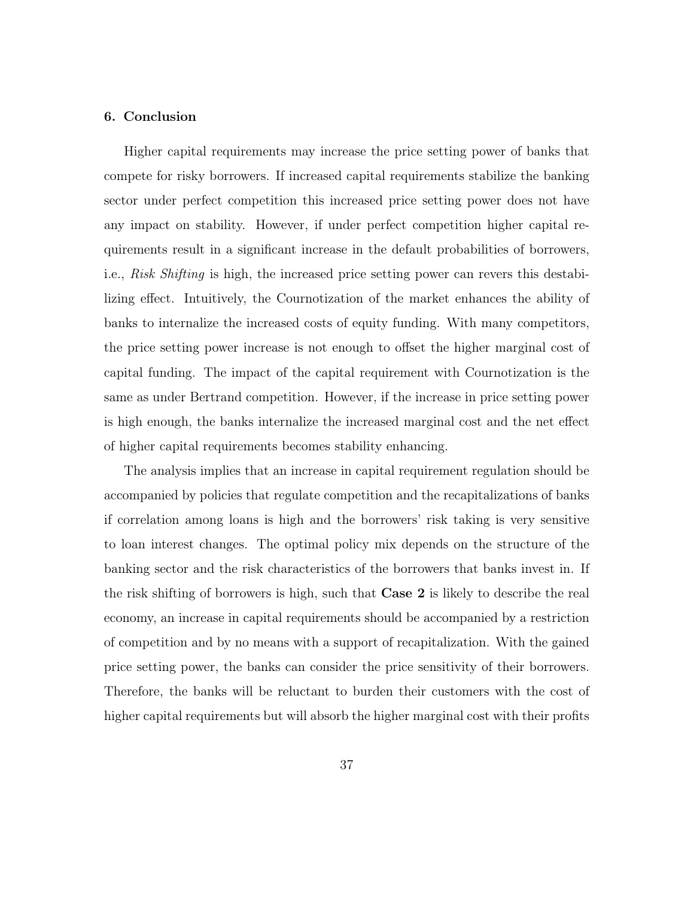#### 6. Conclusion

Higher capital requirements may increase the price setting power of banks that compete for risky borrowers. If increased capital requirements stabilize the banking sector under perfect competition this increased price setting power does not have any impact on stability. However, if under perfect competition higher capital requirements result in a significant increase in the default probabilities of borrowers, i.e., Risk Shifting is high, the increased price setting power can revers this destabilizing effect. Intuitively, the Cournotization of the market enhances the ability of banks to internalize the increased costs of equity funding. With many competitors, the price setting power increase is not enough to offset the higher marginal cost of capital funding. The impact of the capital requirement with Cournotization is the same as under Bertrand competition. However, if the increase in price setting power is high enough, the banks internalize the increased marginal cost and the net effect of higher capital requirements becomes stability enhancing.

The analysis implies that an increase in capital requirement regulation should be accompanied by policies that regulate competition and the recapitalizations of banks if correlation among loans is high and the borrowers' risk taking is very sensitive to loan interest changes. The optimal policy mix depends on the structure of the banking sector and the risk characteristics of the borrowers that banks invest in. If the risk shifting of borrowers is high, such that Case 2 is likely to describe the real economy, an increase in capital requirements should be accompanied by a restriction of competition and by no means with a support of recapitalization. With the gained price setting power, the banks can consider the price sensitivity of their borrowers. Therefore, the banks will be reluctant to burden their customers with the cost of higher capital requirements but will absorb the higher marginal cost with their profits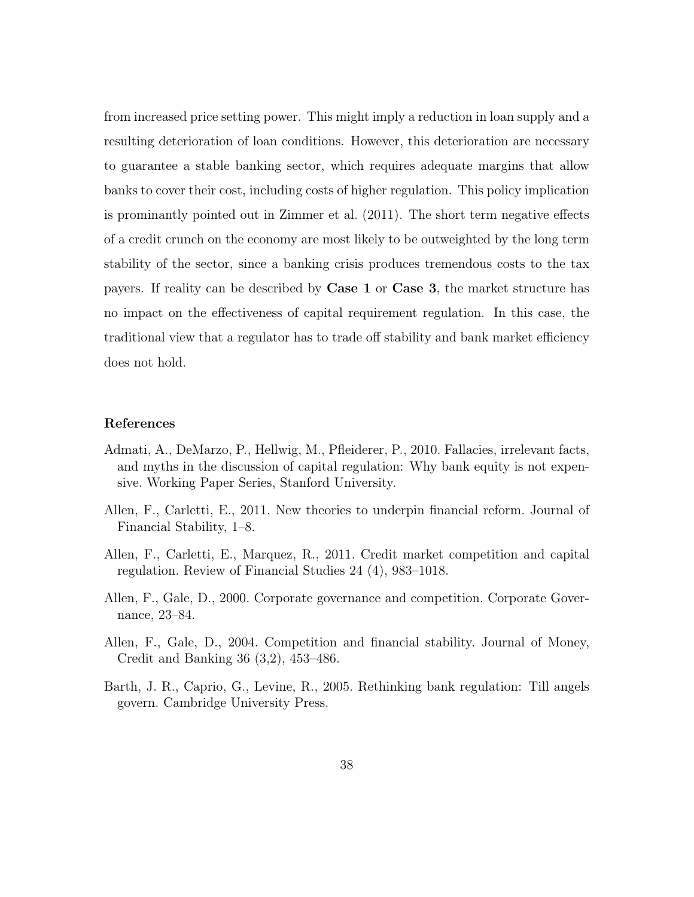from increased price setting power. This might imply a reduction in loan supply and a resulting deterioration of loan conditions. However, this deterioration are necessary to guarantee a stable banking sector, which requires adequate margins that allow banks to cover their cost, including costs of higher regulation. This policy implication is prominantly pointed out in Zimmer et al. (2011). The short term negative effects of a credit crunch on the economy are most likely to be outweighted by the long term stability of the sector, since a banking crisis produces tremendous costs to the tax payers. If reality can be described by Case 1 or Case 3, the market structure has no impact on the effectiveness of capital requirement regulation. In this case, the traditional view that a regulator has to trade off stability and bank market efficiency does not hold.

#### References

- Admati, A., DeMarzo, P., Hellwig, M., Pfleiderer, P., 2010. Fallacies, irrelevant facts, and myths in the discussion of capital regulation: Why bank equity is not expensive. Working Paper Series, Stanford University.
- Allen, F., Carletti, E., 2011. New theories to underpin financial reform. Journal of Financial Stability, 1–8.
- Allen, F., Carletti, E., Marquez, R., 2011. Credit market competition and capital regulation. Review of Financial Studies 24 (4), 983–1018.
- Allen, F., Gale, D., 2000. Corporate governance and competition. Corporate Governance, 23–84.
- Allen, F., Gale, D., 2004. Competition and financial stability. Journal of Money, Credit and Banking 36 (3,2), 453–486.
- Barth, J. R., Caprio, G., Levine, R., 2005. Rethinking bank regulation: Till angels govern. Cambridge University Press.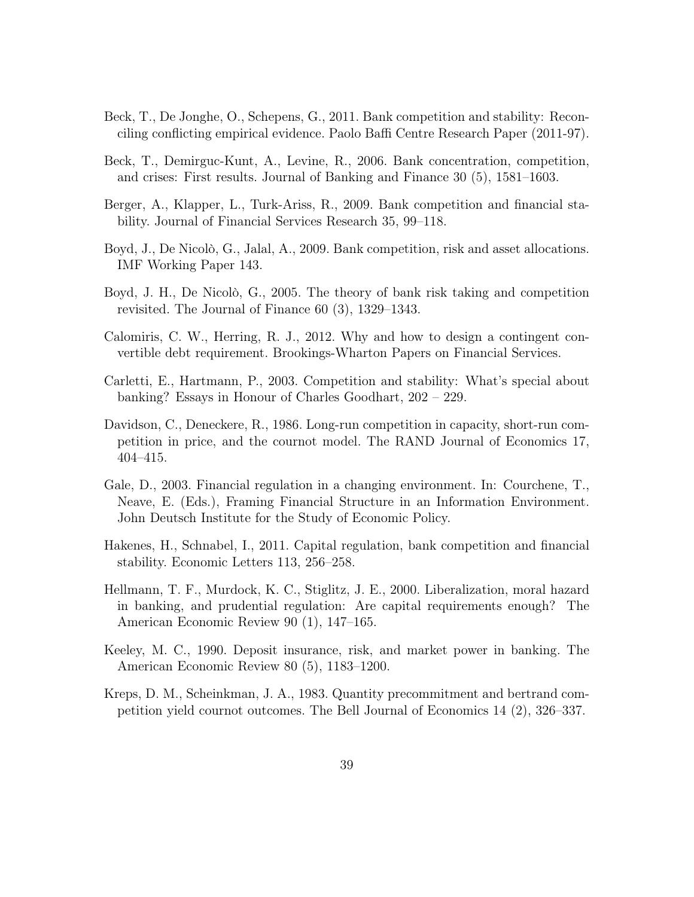- Beck, T., De Jonghe, O., Schepens, G., 2011. Bank competition and stability: Reconciling conflicting empirical evidence. Paolo Baffi Centre Research Paper (2011-97).
- Beck, T., Demirguc-Kunt, A., Levine, R., 2006. Bank concentration, competition, and crises: First results. Journal of Banking and Finance 30 (5), 1581–1603.
- Berger, A., Klapper, L., Turk-Ariss, R., 2009. Bank competition and financial stability. Journal of Financial Services Research 35, 99–118.
- Boyd, J., De Nicolò, G., Jalal, A., 2009. Bank competition, risk and asset allocations. IMF Working Paper 143.
- Boyd, J. H., De Nicolò, G., 2005. The theory of bank risk taking and competition revisited. The Journal of Finance 60 (3), 1329–1343.
- Calomiris, C. W., Herring, R. J., 2012. Why and how to design a contingent convertible debt requirement. Brookings-Wharton Papers on Financial Services.
- Carletti, E., Hartmann, P., 2003. Competition and stability: What's special about banking? Essays in Honour of Charles Goodhart, 202 – 229.
- Davidson, C., Deneckere, R., 1986. Long-run competition in capacity, short-run competition in price, and the cournot model. The RAND Journal of Economics 17, 404–415.
- Gale, D., 2003. Financial regulation in a changing environment. In: Courchene, T., Neave, E. (Eds.), Framing Financial Structure in an Information Environment. John Deutsch Institute for the Study of Economic Policy.
- Hakenes, H., Schnabel, I., 2011. Capital regulation, bank competition and financial stability. Economic Letters 113, 256–258.
- Hellmann, T. F., Murdock, K. C., Stiglitz, J. E., 2000. Liberalization, moral hazard in banking, and prudential regulation: Are capital requirements enough? The American Economic Review 90 (1), 147–165.
- Keeley, M. C., 1990. Deposit insurance, risk, and market power in banking. The American Economic Review 80 (5), 1183–1200.
- Kreps, D. M., Scheinkman, J. A., 1983. Quantity precommitment and bertrand competition yield cournot outcomes. The Bell Journal of Economics 14 (2), 326–337.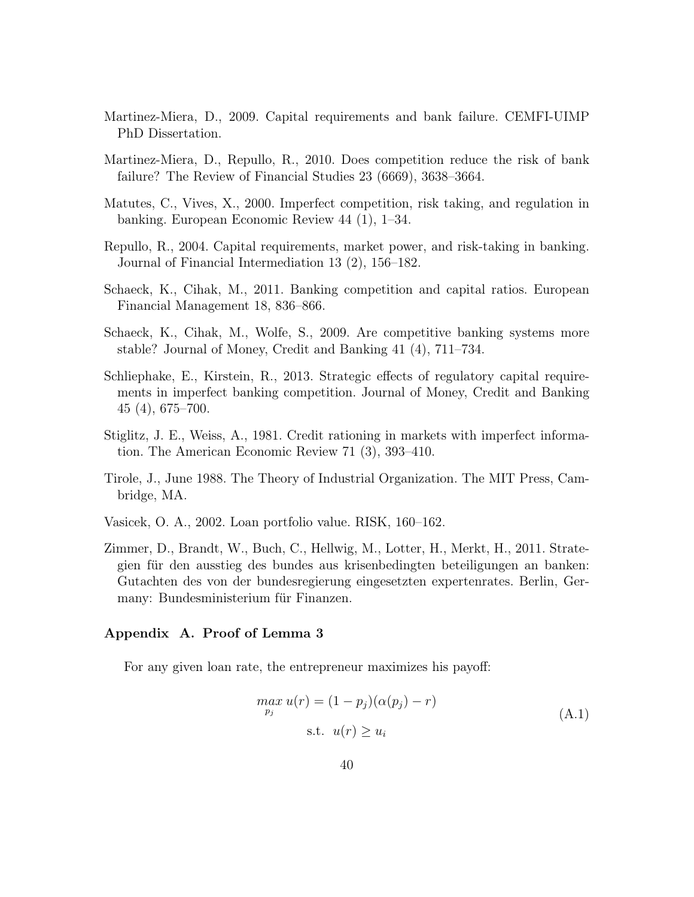- Martinez-Miera, D., 2009. Capital requirements and bank failure. CEMFI-UIMP PhD Dissertation.
- Martinez-Miera, D., Repullo, R., 2010. Does competition reduce the risk of bank failure? The Review of Financial Studies 23 (6669), 3638–3664.
- Matutes, C., Vives, X., 2000. Imperfect competition, risk taking, and regulation in banking. European Economic Review 44 (1), 1–34.
- Repullo, R., 2004. Capital requirements, market power, and risk-taking in banking. Journal of Financial Intermediation 13 (2), 156–182.
- Schaeck, K., Cihak, M., 2011. Banking competition and capital ratios. European Financial Management 18, 836–866.
- Schaeck, K., Cihak, M., Wolfe, S., 2009. Are competitive banking systems more stable? Journal of Money, Credit and Banking 41 (4), 711–734.
- Schliephake, E., Kirstein, R., 2013. Strategic effects of regulatory capital requirements in imperfect banking competition. Journal of Money, Credit and Banking 45 (4), 675–700.
- Stiglitz, J. E., Weiss, A., 1981. Credit rationing in markets with imperfect information. The American Economic Review 71 (3), 393–410.
- Tirole, J., June 1988. The Theory of Industrial Organization. The MIT Press, Cambridge, MA.
- Vasicek, O. A., 2002. Loan portfolio value. RISK, 160–162.
- Zimmer, D., Brandt, W., Buch, C., Hellwig, M., Lotter, H., Merkt, H., 2011. Strategien für den ausstieg des bundes aus krisenbedingten beteiligungen an banken: Gutachten des von der bundesregierung eingesetzten expertenrates. Berlin, Germany: Bundesministerium für Finanzen.

#### Appendix A. Proof of Lemma 3

For any given loan rate, the entrepreneur maximizes his payoff:

$$
\max_{p_j} u(r) = (1 - p_j)(\alpha(p_j) - r)
$$
  
s.t.  $u(r) \ge u_i$  (A.1)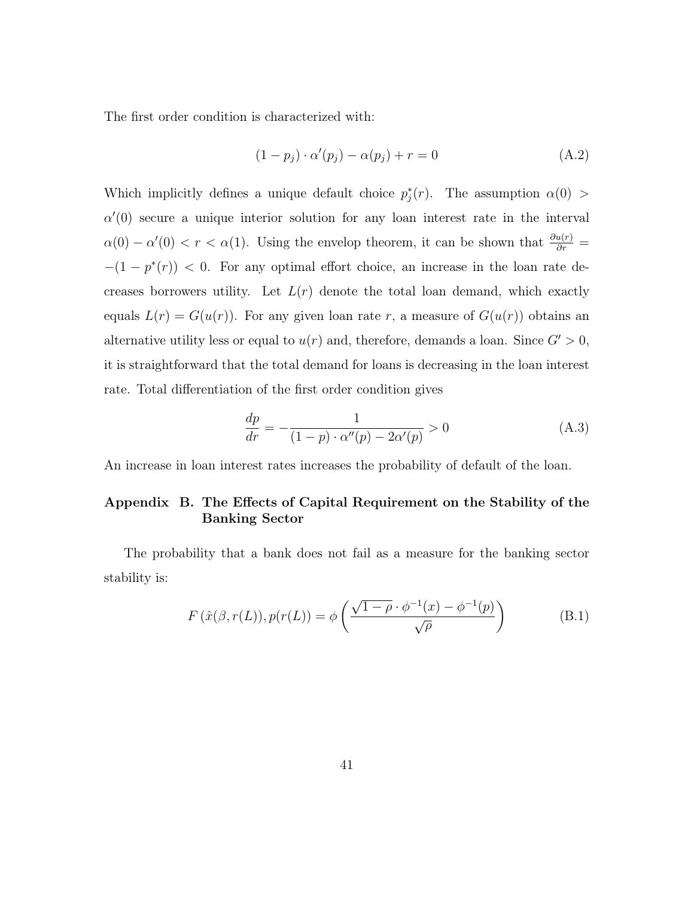The first order condition is characterized with:

$$
(1 - p_j) \cdot \alpha'(p_j) - \alpha(p_j) + r = 0 \tag{A.2}
$$

Which implicitly defines a unique default choice  $p_j^*(r)$ . The assumption  $\alpha(0)$  $\alpha'(0)$  secure a unique interior solution for any loan interest rate in the interval  $\alpha(0) - \alpha'(0) < r < \alpha(1)$ . Using the envelop theorem, it can be shown that  $\frac{\partial u(r)}{\partial r} =$  $-(1 - p^*(r)) < 0$ . For any optimal effort choice, an increase in the loan rate decreases borrowers utility. Let  $L(r)$  denote the total loan demand, which exactly equals  $L(r) = G(u(r))$ . For any given loan rate r, a measure of  $G(u(r))$  obtains an alternative utility less or equal to  $u(r)$  and, therefore, demands a loan. Since  $G' > 0$ , it is straightforward that the total demand for loans is decreasing in the loan interest rate. Total differentiation of the first order condition gives

$$
\frac{dp}{dr} = -\frac{1}{(1-p)\cdot\alpha''(p) - 2\alpha'(p)} > 0
$$
\n(A.3)

An increase in loan interest rates increases the probability of default of the loan.

## Appendix B. The Effects of Capital Requirement on the Stability of the Banking Sector

The probability that a bank does not fail as a measure for the banking sector stability is:

$$
F(\hat{x}(\beta, r(L)), p(r(L)) = \phi\left(\frac{\sqrt{1-\rho} \cdot \phi^{-1}(x) - \phi^{-1}(p)}{\sqrt{\rho}}\right)
$$
(B.1)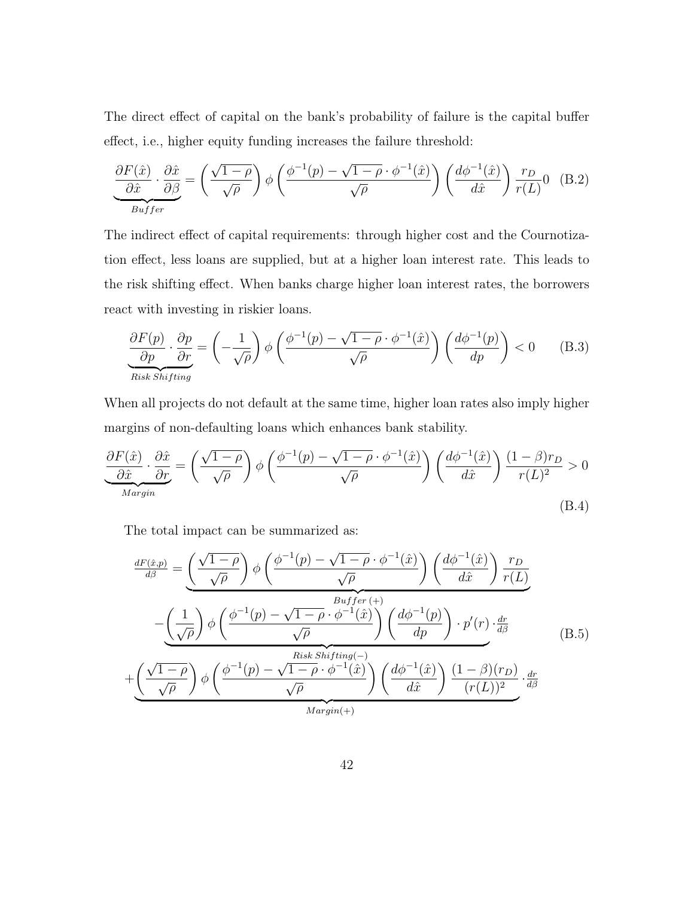The direct effect of capital on the bank's probability of failure is the capital buffer effect, i.e., higher equity funding increases the failure threshold:

$$
\underbrace{\frac{\partial F(\hat{x})}{\partial \hat{x}} \cdot \frac{\partial \hat{x}}{\partial \beta}}_{Buffer} = \left(\frac{\sqrt{1-\rho}}{\sqrt{\rho}}\right) \phi \left(\frac{\phi^{-1}(p) - \sqrt{1-\rho} \cdot \phi^{-1}(\hat{x})}{\sqrt{\rho}}\right) \left(\frac{d\phi^{-1}(\hat{x})}{d\hat{x}}\right) \frac{r_D}{r(L)} 0 \quad (B.2)
$$

The indirect effect of capital requirements: through higher cost and the Cournotization effect, less loans are supplied, but at a higher loan interest rate. This leads to the risk shifting effect. When banks charge higher loan interest rates, the borrowers react with investing in riskier loans.

$$
\frac{\partial F(p)}{\partial p} \cdot \frac{\partial p}{\partial r} = \left(-\frac{1}{\sqrt{\rho}}\right) \phi \left(\frac{\phi^{-1}(p) - \sqrt{1-\rho} \cdot \phi^{-1}(\hat{x})}{\sqrt{\rho}}\right) \left(\frac{d\phi^{-1}(p)}{dp}\right) < 0 \quad (B.3)
$$
\nRisk Shifting

When all projects do not default at the same time, higher loan rates also imply higher margins of non-defaulting loans which enhances bank stability.

$$
\underbrace{\frac{\partial F(\hat{x})}{\partial \hat{x}} \cdot \frac{\partial \hat{x}}{\partial r}}_{\text{Margin}} = \left(\frac{\sqrt{1-\rho}}{\sqrt{\rho}}\right) \phi \left(\frac{\phi^{-1}(p) - \sqrt{1-\rho} \cdot \phi^{-1}(\hat{x})}{\sqrt{\rho}}\right) \left(\frac{d\phi^{-1}(\hat{x})}{d\hat{x}}\right) \frac{(1-\beta)r_D}{r(L)^2} > 0
$$
\n(B.4)

The total impact can be summarized as:

$$
\frac{dF(\hat{x},p)}{d\beta} = \underbrace{\left(\frac{\sqrt{1-\rho}}{\sqrt{\rho}}\right)\phi\left(\frac{\phi^{-1}(p) - \sqrt{1-\rho}\cdot\phi^{-1}(\hat{x})}{\sqrt{\rho}}\right)\left(\frac{d\phi^{-1}(\hat{x})}{d\hat{x}}\right)\frac{r_D}{r(L)}}_{-\underbrace{\left(\frac{1}{\sqrt{\rho}}\right)\phi\left(\frac{\phi^{-1}(p) - \sqrt{1-\rho}\cdot\phi^{-1}(\hat{x})}{\sqrt{\rho}}\right)\left(\frac{d\phi^{-1}(p)}{dp}\right)\cdot p'(r)\cdot\frac{dr}{d\beta}}_{+\underbrace{\left(\frac{\sqrt{1-\rho}}{\sqrt{\rho}}\right)\phi\left(\frac{\phi^{-1}(p) - \sqrt{1-\rho}\cdot\phi^{-1}(\hat{x})}{\sqrt{\rho}}\right)\left(\frac{d\phi^{-1}(\hat{x})}{d\hat{x}}\right)\frac{(1-\beta)(r_D)}{(r(L))^2}\cdot\frac{dr}{d\beta}}_{\text{(B.5)}}
$$

 $\overbrace{Margin(+)}$  $Margin(+)$